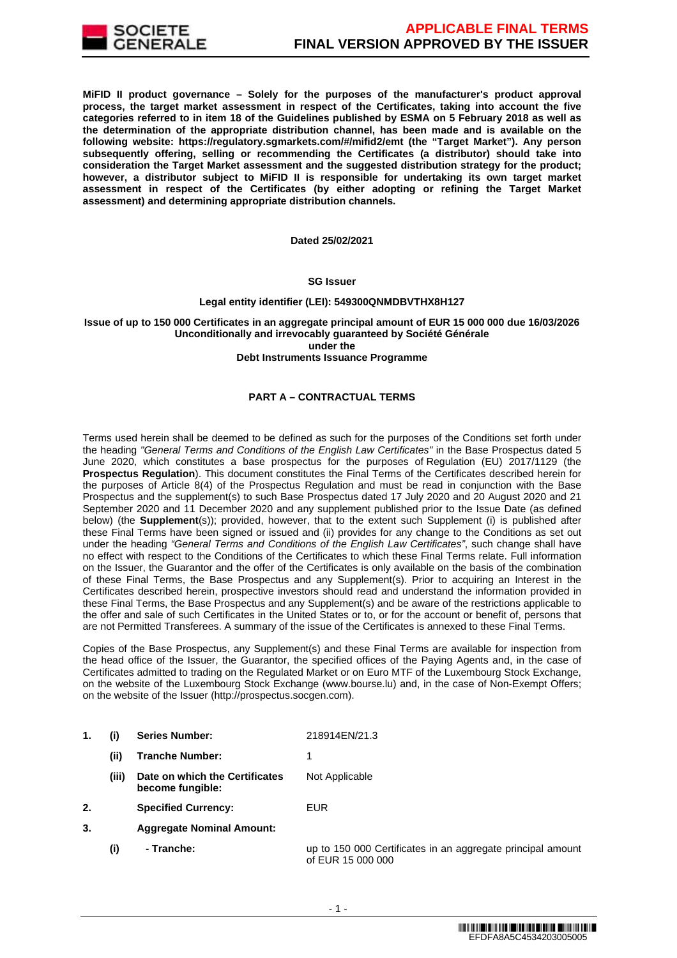

**MiFID II product governance – Solely for the purposes of the manufacturer's product approval process, the target market assessment in respect of the Certificates, taking into account the five categories referred to in item 18 of the Guidelines published by ESMA on 5 February 2018 as well as the determination of the appropriate distribution channel, has been made and is available on the following website: https://regulatory.sgmarkets.com/#/mifid2/emt (the "Target Market"). Any person subsequently offering, selling or recommending the Certificates (a distributor) should take into consideration the Target Market assessment and the suggested distribution strategy for the product; however, a distributor subject to MiFID II is responsible for undertaking its own target market assessment in respect of the Certificates (by either adopting or refining the Target Market assessment) and determining appropriate distribution channels.**

#### **Dated 25/02/2021**

#### **SG Issuer**

## **Legal entity identifier (LEI): 549300QNMDBVTHX8H127**

## **Issue of up to 150 000 Certificates in an aggregate principal amount of EUR 15 000 000 due 16/03/2026 Unconditionally and irrevocably guaranteed by Société Générale under the**

#### **Debt Instruments Issuance Programme**

# **PART A – CONTRACTUAL TERMS**

Terms used herein shall be deemed to be defined as such for the purposes of the Conditions set forth under the heading "General Terms and Conditions of the English Law Certificates" in the Base Prospectus dated 5 June 2020, which constitutes a base prospectus for the purposes of Regulation (EU) 2017/1129 (the **Prospectus Regulation**). This document constitutes the Final Terms of the Certificates described herein for the purposes of Article 8(4) of the Prospectus Regulation and must be read in conjunction with the Base Prospectus and the supplement(s) to such Base Prospectus dated 17 July 2020 and 20 August 2020 and 21 September 2020 and 11 December 2020 and any supplement published prior to the Issue Date (as defined below) (the **Supplement**(s)); provided, however, that to the extent such Supplement (i) is published after these Final Terms have been signed or issued and (ii) provides for any change to the Conditions as set out under the heading "General Terms and Conditions of the English Law Certificates", such change shall have no effect with respect to the Conditions of the Certificates to which these Final Terms relate. Full information on the Issuer, the Guarantor and the offer of the Certificates is only available on the basis of the combination of these Final Terms, the Base Prospectus and any Supplement(s). Prior to acquiring an Interest in the Certificates described herein, prospective investors should read and understand the information provided in these Final Terms, the Base Prospectus and any Supplement(s) and be aware of the restrictions applicable to the offer and sale of such Certificates in the United States or to, or for the account or benefit of, persons that are not Permitted Transferees. A summary of the issue of the Certificates is annexed to these Final Terms.

Copies of the Base Prospectus, any Supplement(s) and these Final Terms are available for inspection from the head office of the Issuer, the Guarantor, the specified offices of the Paying Agents and, in the case of Certificates admitted to trading on the Regulated Market or on Euro MTF of the Luxembourg Stock Exchange, on the website of the Luxembourg Stock Exchange (www.bourse.lu) and, in the case of Non-Exempt Offers; on the website of the Issuer (http://prospectus.socgen.com).

- **1. (i) Series Number:** 218914EN/21.3
	- **(ii) Tranche Number:** 1 **(iii) Date on which the Certificates become fungible:** Not Applicable
- **2. Specified Currency:** EUR
- **3. Aggregate Nominal Amount:**
	- **(i) Tranche:** up to 150 000 Certificates in an aggregate principal amount of EUR 15 000 000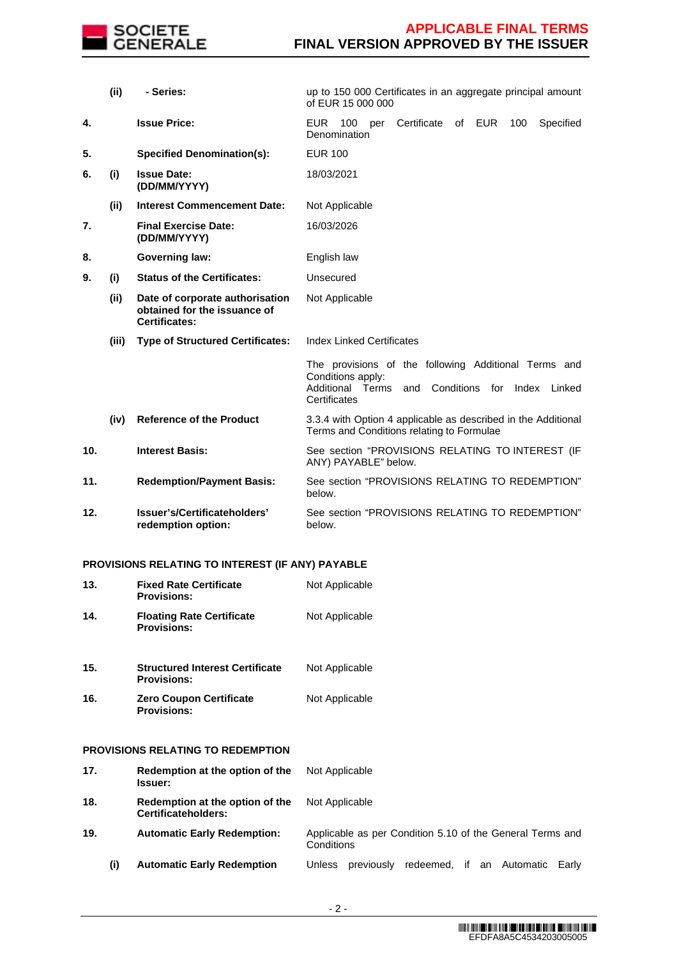

|                 | (i)   | - Series:                                                                               | up to 150 000 Certificates in an aggregate principal amount<br>of EUR 15 000 000                                                                    |  |  |  |  |
|-----------------|-------|-----------------------------------------------------------------------------------------|-----------------------------------------------------------------------------------------------------------------------------------------------------|--|--|--|--|
| 4.              |       | <b>Issue Price:</b>                                                                     | Certificate<br><b>EUR</b><br>100<br>of EUR<br>100<br>Specified<br>per<br>Denomination                                                               |  |  |  |  |
| 5.              |       | <b>Specified Denomination(s):</b>                                                       | <b>EUR 100</b>                                                                                                                                      |  |  |  |  |
| 6.              | (i)   | <b>Issue Date:</b><br>(DD/MM/YYYY)                                                      | 18/03/2021                                                                                                                                          |  |  |  |  |
|                 | (ii)  | <b>Interest Commencement Date:</b>                                                      | Not Applicable                                                                                                                                      |  |  |  |  |
| 7.              |       | <b>Final Exercise Date:</b><br>(DD/MM/YYYY)                                             | 16/03/2026                                                                                                                                          |  |  |  |  |
| 8.              |       | <b>Governing law:</b>                                                                   | English law                                                                                                                                         |  |  |  |  |
| 9.              | (i)   | <b>Status of the Certificates:</b>                                                      | Unsecured                                                                                                                                           |  |  |  |  |
|                 | (ii)  | Date of corporate authorisation<br>obtained for the issuance of<br><b>Certificates:</b> | Not Applicable                                                                                                                                      |  |  |  |  |
|                 | (iii) | <b>Type of Structured Certificates:</b>                                                 | <b>Index Linked Certificates</b>                                                                                                                    |  |  |  |  |
|                 |       |                                                                                         | The provisions of the following Additional Terms and<br>Conditions apply:<br>and Conditions for Index<br>Additional Terms<br>Linked<br>Certificates |  |  |  |  |
|                 | (iv)  | <b>Reference of the Product</b>                                                         | 3.3.4 with Option 4 applicable as described in the Additional<br>Terms and Conditions relating to Formulae                                          |  |  |  |  |
| 10 <sub>1</sub> |       | <b>Interest Basis:</b>                                                                  | See section "PROVISIONS RELATING TO INTEREST (IF<br>ANY) PAYABLE" below.                                                                            |  |  |  |  |
| 11.             |       | <b>Redemption/Payment Basis:</b>                                                        | See section "PROVISIONS RELATING TO REDEMPTION"<br>below.                                                                                           |  |  |  |  |
| 12.             |       | Issuer's/Certificateholders'<br>redemption option:                                      | See section "PROVISIONS RELATING TO REDEMPTION"<br>below.                                                                                           |  |  |  |  |

# **PROVISIONS RELATING TO INTEREST (IF ANY) PAYABLE**

| 13. | <b>Fixed Rate Certificate</b><br><b>Provisions:</b>          | Not Applicable                                                          |
|-----|--------------------------------------------------------------|-------------------------------------------------------------------------|
| 14. | <b>Floating Rate Certificate</b><br><b>Provisions:</b>       | Not Applicable                                                          |
| 15. | <b>Structured Interest Certificate</b><br><b>Provisions:</b> | Not Applicable                                                          |
| 16. | <b>Zero Coupon Certificate</b><br><b>Provisions:</b>         | Not Applicable                                                          |
|     | PROVISIONS RELATING TO REDEMPTION                            |                                                                         |
| 17. | Redemption at the option of the<br><b>Issuer:</b>            | Not Applicable                                                          |
| 18. | Redemption at the option of the<br>Certificateholders:       | Not Applicable                                                          |
| 19. | <b>Automatic Early Redemption:</b>                           | Applicable as per Condition 5.10 of the General Terms and<br>Conditions |
| (i) | <b>Automatic Early Redemption</b>                            | Unless previously<br>redeemed, if<br>an Automatic<br>Earlv              |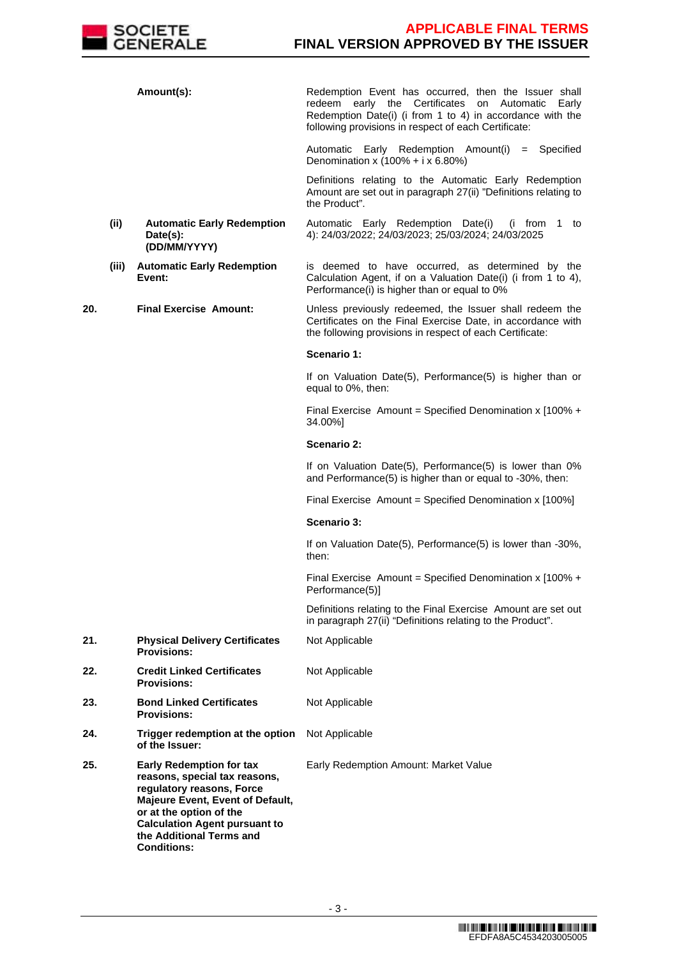

|     |       | Amount(s):                                                                                                                                                                                                                                             | Redemption Event has occurred, then the Issuer shall<br>early the Certificates<br>redeem<br>on<br>Automatic<br>Early<br>Redemption Date(i) (i from 1 to 4) in accordance with the<br>following provisions in respect of each Certificate: |
|-----|-------|--------------------------------------------------------------------------------------------------------------------------------------------------------------------------------------------------------------------------------------------------------|-------------------------------------------------------------------------------------------------------------------------------------------------------------------------------------------------------------------------------------------|
|     |       |                                                                                                                                                                                                                                                        | Automatic Early Redemption Amount(i) = Specified<br>Denomination x $(100\% + i \times 6.80\%)$                                                                                                                                            |
|     |       |                                                                                                                                                                                                                                                        | Definitions relating to the Automatic Early Redemption<br>Amount are set out in paragraph 27(ii) "Definitions relating to<br>the Product".                                                                                                |
|     | (ii)  | <b>Automatic Early Redemption</b><br>Date(s):<br>(DD/MM/YYYY)                                                                                                                                                                                          | Automatic Early Redemption Date(i)<br>(i from 1 to<br>4): 24/03/2022; 24/03/2023; 25/03/2024; 24/03/2025                                                                                                                                  |
|     | (iii) | <b>Automatic Early Redemption</b><br>Event:                                                                                                                                                                                                            | is deemed to have occurred, as determined by the<br>Calculation Agent, if on a Valuation Date(i) (i from 1 to 4),<br>Performance(i) is higher than or equal to 0%                                                                         |
| 20. |       | <b>Final Exercise Amount:</b>                                                                                                                                                                                                                          | Unless previously redeemed, the Issuer shall redeem the<br>Certificates on the Final Exercise Date, in accordance with<br>the following provisions in respect of each Certificate:                                                        |
|     |       |                                                                                                                                                                                                                                                        | Scenario 1:                                                                                                                                                                                                                               |
|     |       |                                                                                                                                                                                                                                                        | If on Valuation Date(5), Performance(5) is higher than or<br>equal to 0%, then:                                                                                                                                                           |
|     |       |                                                                                                                                                                                                                                                        | Final Exercise Amount = Specified Denomination x $[100\% +$<br>34.00%]                                                                                                                                                                    |
|     |       |                                                                                                                                                                                                                                                        | Scenario 2:                                                                                                                                                                                                                               |
|     |       |                                                                                                                                                                                                                                                        | If on Valuation Date(5), Performance(5) is lower than 0%<br>and Performance(5) is higher than or equal to -30%, then:                                                                                                                     |
|     |       |                                                                                                                                                                                                                                                        | Final Exercise Amount = Specified Denomination x [100%]                                                                                                                                                                                   |
|     |       |                                                                                                                                                                                                                                                        | Scenario 3:                                                                                                                                                                                                                               |
|     |       |                                                                                                                                                                                                                                                        | If on Valuation Date(5), Performance(5) is lower than -30%,<br>then:                                                                                                                                                                      |
|     |       |                                                                                                                                                                                                                                                        | Final Exercise Amount = Specified Denomination x [100% +<br>Performance(5)]                                                                                                                                                               |
|     |       |                                                                                                                                                                                                                                                        | Definitions relating to the Final Exercise Amount are set out<br>in paragraph 27(ii) "Definitions relating to the Product".                                                                                                               |
| 21. |       | <b>Physical Delivery Certificates</b><br><b>Provisions:</b>                                                                                                                                                                                            | Not Applicable                                                                                                                                                                                                                            |
| 22. |       | <b>Credit Linked Certificates</b><br><b>Provisions:</b>                                                                                                                                                                                                | Not Applicable                                                                                                                                                                                                                            |
| 23. |       | <b>Bond Linked Certificates</b><br><b>Provisions:</b>                                                                                                                                                                                                  | Not Applicable                                                                                                                                                                                                                            |
| 24. |       | Trigger redemption at the option<br>of the Issuer:                                                                                                                                                                                                     | Not Applicable                                                                                                                                                                                                                            |
| 25. |       | <b>Early Redemption for tax</b><br>reasons, special tax reasons,<br>regulatory reasons, Force<br>Majeure Event, Event of Default,<br>or at the option of the<br><b>Calculation Agent pursuant to</b><br>the Additional Terms and<br><b>Conditions:</b> | Early Redemption Amount: Market Value                                                                                                                                                                                                     |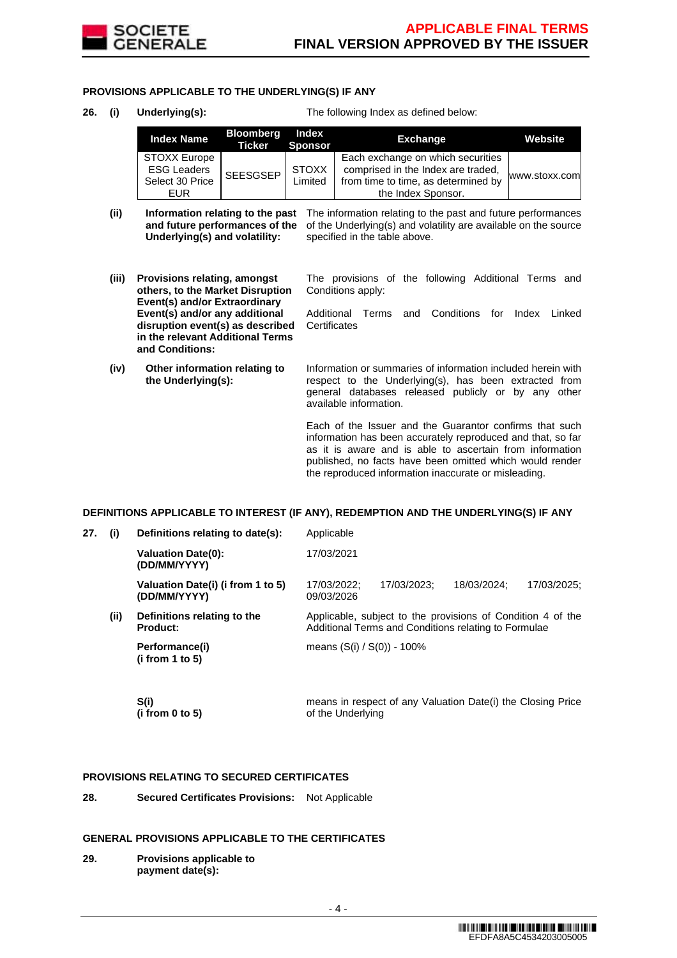

## **PROVISIONS APPLICABLE TO THE UNDERLYING(S) IF ANY**

**26. (i) Underlying(s):** The following Index as defined below:

| <b>Index Name</b>                                                   | <b>Bloomberg</b><br>Ticker | Index<br><b>Sponsor</b> | <b>Exchange</b>                                                                                                                      | Website       |
|---------------------------------------------------------------------|----------------------------|-------------------------|--------------------------------------------------------------------------------------------------------------------------------------|---------------|
| STOXX Europe<br><b>ESG Leaders</b><br>Select 30 Price<br><b>EUR</b> | SEESGSEP                   | <b>STOXX</b><br>Limited | Each exchange on which securities<br>comprised in the Index are traded,<br>from time to time, as determined by<br>the Index Sponsor. | www.stoxx.com |

- (ii) **Information relating to the past** The information relating to the past and future performances **and future performances of the** of the Underlying(s) and volatility are available on the source **Underlying(s) and volatility:** specified in the table above.
- **(iii) Provisions relating, amongst others, to the Market Disruption Event(s) and/or Extraordinary Event(s) and/or any additional disruption event(s) as described in the relevant Additional Terms and Conditions:**
- **(iv) Other information relating to the Underlying(s):**

The provisions of the following Additional Terms and Conditions apply:

Additional Terms and Conditions for Index Linked **Certificates** 

Information or summaries of information included herein with respect to the Underlying(s), has been extracted from general databases released publicly or by any other available information.

Each of the Issuer and the Guarantor confirms that such information has been accurately reproduced and that, so far as it is aware and is able to ascertain from information published, no facts have been omitted which would render the reproduced information inaccurate or misleading.

## **DEFINITIONS APPLICABLE TO INTEREST (IF ANY), REDEMPTION AND THE UNDERLYING(S) IF ANY**

| 27. | (i)  | Definitions relating to date(s):                  | Applicable                                                                                                          |             |             |             |  |
|-----|------|---------------------------------------------------|---------------------------------------------------------------------------------------------------------------------|-------------|-------------|-------------|--|
|     |      | <b>Valuation Date(0):</b><br>(DD/MM/YYYY)         | 17/03/2021                                                                                                          |             |             |             |  |
|     |      | Valuation Date(i) (i from 1 to 5)<br>(DD/MM/YYYY) | 17/03/2022:<br>09/03/2026                                                                                           | 17/03/2023: | 18/03/2024: | 17/03/2025; |  |
|     | (ii) | Definitions relating to the<br><b>Product:</b>    | Applicable, subject to the provisions of Condition 4 of the<br>Additional Terms and Conditions relating to Formulae |             |             |             |  |
|     |      | Performance(i)<br>(i from 1 to 5)                 | means (S(i) / S(0)) - 100%                                                                                          |             |             |             |  |
|     |      |                                                   |                                                                                                                     |             |             |             |  |

 **S(i) (i from 0 to 5)**  means in respect of any Valuation Date(i) the Closing Price of the Underlying

## **PROVISIONS RELATING TO SECURED CERTIFICATES**

**28. Secured Certificates Provisions:** Not Applicable

#### **GENERAL PROVISIONS APPLICABLE TO THE CERTIFICATES**

**29. Provisions applicable to payment date(s):**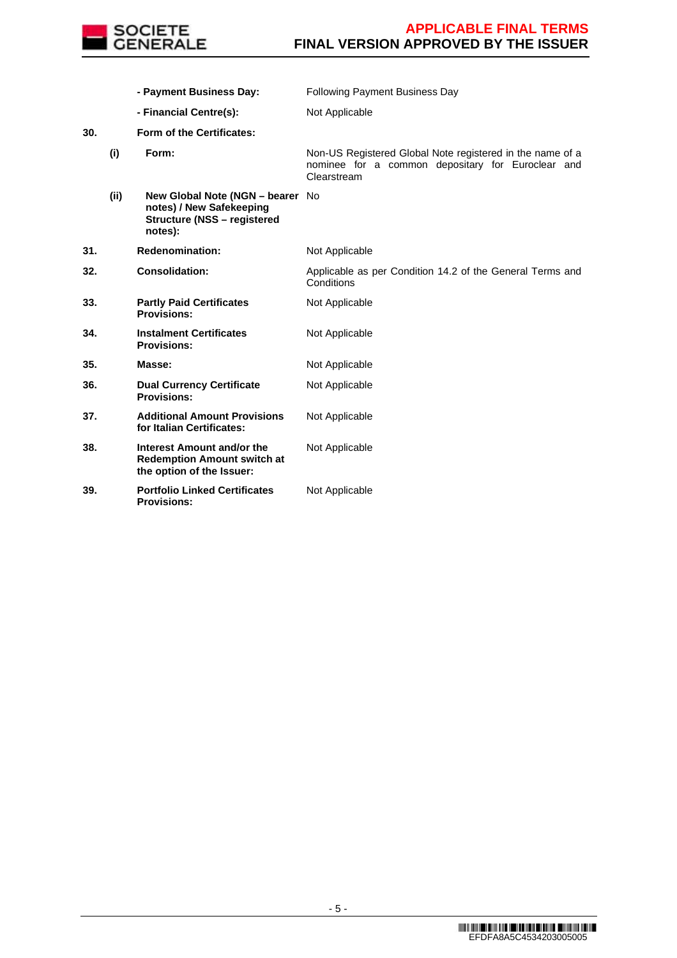

 **- Payment Business Day:** Following Payment Business Day **- Financial Centre(s):** Not Applicable **30. Form of the Certificates: (i) Form:** Non-US Registered Global Note registered in the name of a nominee for a common depositary for Euroclear and Clearstream **(ii) New Global Note (NGN – bearer**  No **notes) / New Safekeeping Structure (NSS – registered notes): 31. Redenomination:** Not Applicable **32. Consolidation:** Applicable as per Condition 14.2 of the General Terms and **Conditions 33. Partly Paid Certificates Provisions:** Not Applicable **34. Instalment Certificates Provisions:** Not Applicable **35. Masse: Not Applicable 36. Dual Currency Certificate Provisions:** Not Applicable **37. Additional Amount Provisions for Italian Certificates:** Not Applicable **38. Interest Amount and/or the Redemption Amount switch at the option of the Issuer:** Not Applicable **39. Portfolio Linked Certificates Provisions:** Not Applicable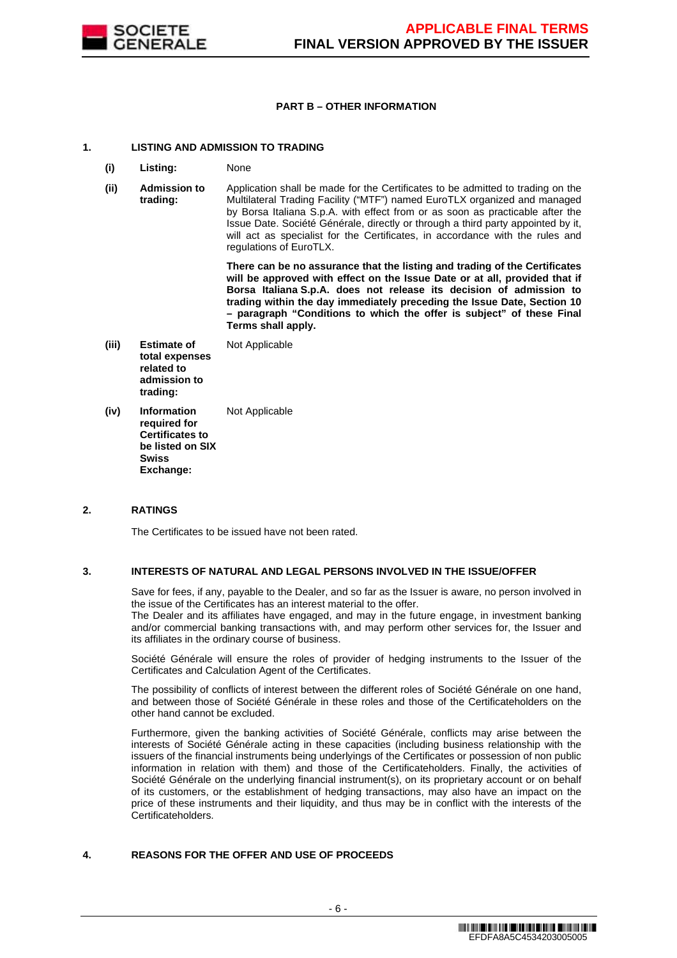

## **PART B – OTHER INFORMATION**

## **1. LISTING AND ADMISSION TO TRADING**

- **(i) Listing:** None
- **(ii) Admission to trading:** Application shall be made for the Certificates to be admitted to trading on the Multilateral Trading Facility ("MTF") named EuroTLX organized and managed by Borsa Italiana S.p.A. with effect from or as soon as practicable after the Issue Date. Société Générale, directly or through a third party appointed by it, will act as specialist for the Certificates, in accordance with the rules and regulations of EuroTLX.

 **There can be no assurance that the listing and trading of the Certificates will be approved with effect on the Issue Date or at all, provided that if Borsa Italiana S.p.A. does not release its decision of admission to trading within the day immediately preceding the Issue Date, Section 10 – paragraph "Conditions to which the offer is subject" of these Final Terms shall apply.**

- **(iii) Estimate of total expenses related to admission to trading:** Not Applicable
- **(iv) Information required for Certificates to be listed on SIX Swiss Exchange:** Not Applicable

## **2. RATINGS**

The Certificates to be issued have not been rated.

## **3. INTERESTS OF NATURAL AND LEGAL PERSONS INVOLVED IN THE ISSUE/OFFER**

 Save for fees, if any, payable to the Dealer, and so far as the Issuer is aware, no person involved in the issue of the Certificates has an interest material to the offer.

The Dealer and its affiliates have engaged, and may in the future engage, in investment banking and/or commercial banking transactions with, and may perform other services for, the Issuer and its affiliates in the ordinary course of business.

 Société Générale will ensure the roles of provider of hedging instruments to the Issuer of the Certificates and Calculation Agent of the Certificates.

 The possibility of conflicts of interest between the different roles of Société Générale on one hand, and between those of Société Générale in these roles and those of the Certificateholders on the other hand cannot be excluded.

 Furthermore, given the banking activities of Société Générale, conflicts may arise between the interests of Société Générale acting in these capacities (including business relationship with the issuers of the financial instruments being underlyings of the Certificates or possession of non public information in relation with them) and those of the Certificateholders. Finally, the activities of Société Générale on the underlying financial instrument(s), on its proprietary account or on behalf of its customers, or the establishment of hedging transactions, may also have an impact on the price of these instruments and their liquidity, and thus may be in conflict with the interests of the Certificateholders.

## **4. REASONS FOR THE OFFER AND USE OF PROCEEDS**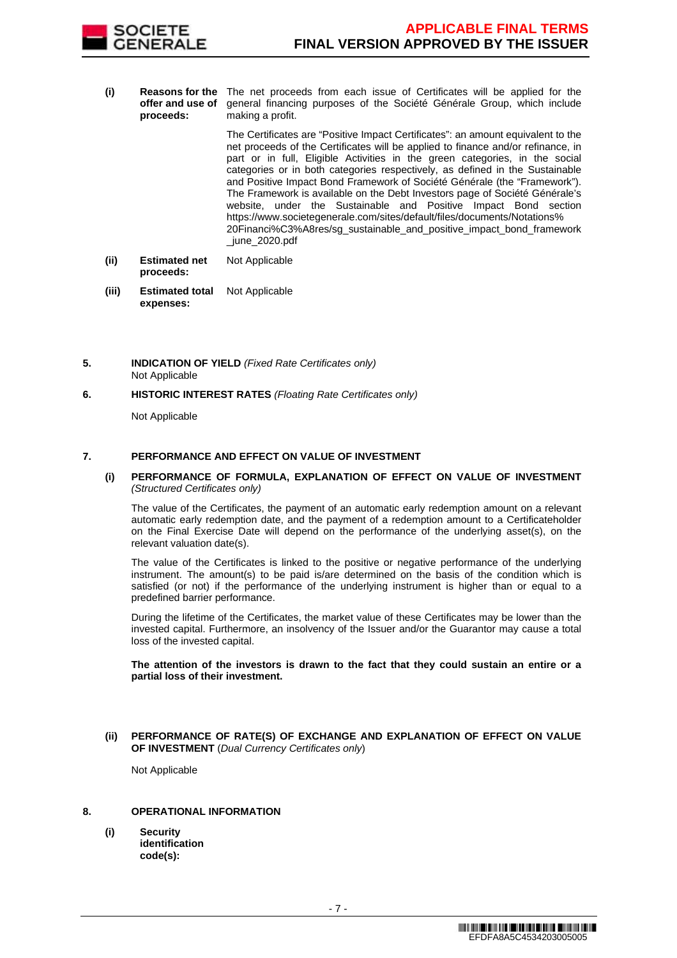

**(i) Reasons for the**  The net proceeds from each issue of Certificates will be applied for the **offer and use of proceeds:** general financing purposes of the Société Générale Group, which include making a profit.

> The Certificates are "Positive Impact Certificates": an amount equivalent to the net proceeds of the Certificates will be applied to finance and/or refinance, in part or in full, Eligible Activities in the green categories, in the social categories or in both categories respectively, as defined in the Sustainable and Positive Impact Bond Framework of Société Générale (the "Framework"). The Framework is available on the Debt Investors page of Société Générale's website, under the Sustainable and Positive Impact Bond section https://www.societegenerale.com/sites/default/files/documents/Notations% 20Financi%C3%A8res/sg\_sustainable\_and\_positive\_impact\_bond\_framework \_june\_2020.pdf

- **(ii) Estimated net proceeds:** Not Applicable
- **(iii) Estimated total expenses:** Not Applicable
- **5. INDICATION OF YIELD** (Fixed Rate Certificates only) Not Applicable
- **6. HISTORIC INTEREST RATES** (Floating Rate Certificates only)

Not Applicable

## **7. PERFORMANCE AND EFFECT ON VALUE OF INVESTMENT**

**(i) PERFORMANCE OF FORMULA, EXPLANATION OF EFFECT ON VALUE OF INVESTMENT**  (Structured Certificates only)

 The value of the Certificates, the payment of an automatic early redemption amount on a relevant automatic early redemption date, and the payment of a redemption amount to a Certificateholder on the Final Exercise Date will depend on the performance of the underlying asset(s), on the relevant valuation date(s).

 The value of the Certificates is linked to the positive or negative performance of the underlying instrument. The amount(s) to be paid is/are determined on the basis of the condition which is satisfied (or not) if the performance of the underlying instrument is higher than or equal to a predefined barrier performance.

 During the lifetime of the Certificates, the market value of these Certificates may be lower than the invested capital. Furthermore, an insolvency of the Issuer and/or the Guarantor may cause a total loss of the invested capital.

**The attention of the investors is drawn to the fact that they could sustain an entire or a partial loss of their investment.**

**(ii) PERFORMANCE OF RATE(S) OF EXCHANGE AND EXPLANATION OF EFFECT ON VALUE OF INVESTMENT** (Dual Currency Certificates only)

Not Applicable

# **8. OPERATIONAL INFORMATION**

**(i) Security identification code(s):**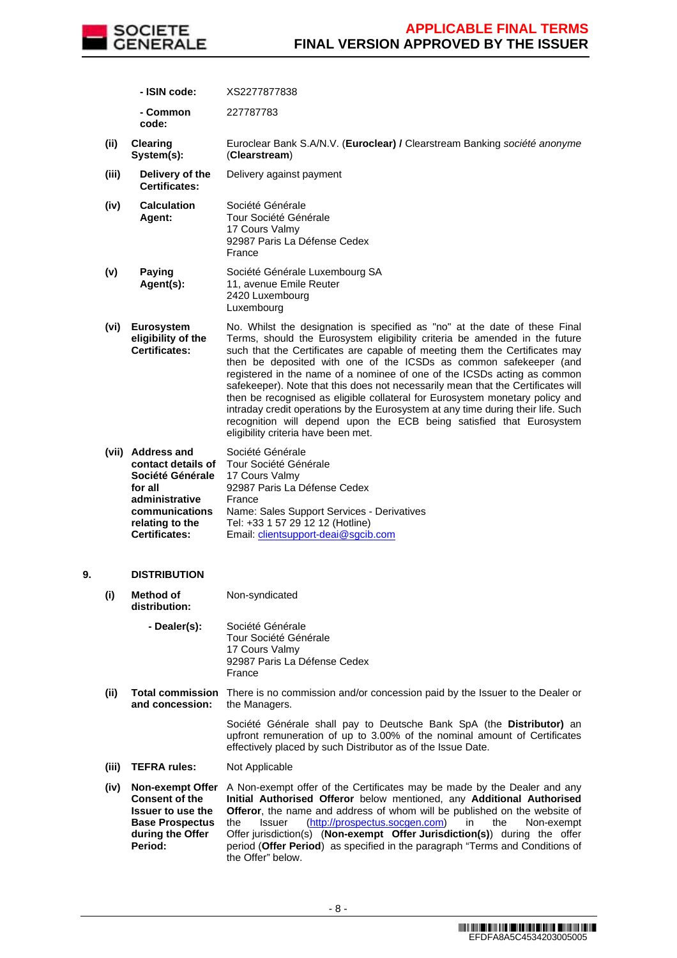

**- ISIN code:** XS2277877838

 **- Common code:** 227787783

- **(ii) Clearing System(s):** Euroclear Bank S.A/N.V. (**Euroclear) /** Clearstream Banking société anonyme (**Clearstream**)
- **(iii) Delivery of the Certificates:** Delivery against payment
- **(iv) Calculation Agent:** Société Générale Tour Société Générale 17 Cours Valmy 92987 Paris La Défense Cedex France
- **(v) Paying Agent(s):** Société Générale Luxembourg SA 11, avenue Emile Reuter 2420 Luxembourg Luxembourg
- **(vi) Eurosystem eligibility of the Certificates:** No. Whilst the designation is specified as "no" at the date of these Final Terms, should the Eurosystem eligibility criteria be amended in the future such that the Certificates are capable of meeting them the Certificates may then be deposited with one of the ICSDs as common safekeeper (and registered in the name of a nominee of one of the ICSDs acting as common safekeeper). Note that this does not necessarily mean that the Certificates will then be recognised as eligible collateral for Eurosystem monetary policy and intraday credit operations by the Eurosystem at any time during their life. Such recognition will depend upon the ECB being satisfied that Eurosystem eligibility criteria have been met.
- **(vii) Address and contact details of Société Générale for all administrative communications relating to the Certificates:** Société Générale Tour Société Générale 17 Cours Valmy 92987 Paris La Défense Cedex France Name: Sales Support Services - Derivatives Tel: +33 1 57 29 12 12 (Hotline) Email: clientsupport-deai@sgcib.com

## **9. DISTRIBUTION**

| (i)   | Method of<br>distribution:                                                                                                     | Non-syndicated                                                                                                                                                                                                                                                                                                                                                                                                                                                                                                          |
|-------|--------------------------------------------------------------------------------------------------------------------------------|-------------------------------------------------------------------------------------------------------------------------------------------------------------------------------------------------------------------------------------------------------------------------------------------------------------------------------------------------------------------------------------------------------------------------------------------------------------------------------------------------------------------------|
|       | - Dealer(s):                                                                                                                   | Société Générale<br>Tour Société Générale<br>17 Cours Valmy<br>92987 Paris La Défense Cedex<br>France                                                                                                                                                                                                                                                                                                                                                                                                                   |
| (ii)  | and concession:                                                                                                                | <b>Total commission</b> There is no commission and/or concession paid by the Issuer to the Dealer or<br>the Managers.                                                                                                                                                                                                                                                                                                                                                                                                   |
|       |                                                                                                                                | Société Générale shall pay to Deutsche Bank SpA (the <b>Distributor)</b> an<br>upfront remuneration of up to 3.00% of the nominal amount of Certificates<br>effectively placed by such Distributor as of the Issue Date.                                                                                                                                                                                                                                                                                                |
| (iii) | <b>TEFRA rules:</b>                                                                                                            | Not Applicable                                                                                                                                                                                                                                                                                                                                                                                                                                                                                                          |
| (iv)  | <b>Non-exempt Offer</b><br>Consent of the<br><b>Issuer to use the</b><br><b>Base Prospectus</b><br>during the Offer<br>Period: | A Non-exempt offer of the Certificates may be made by the Dealer and any<br>Initial Authorised Offeror below mentioned, any Additional Authorised<br><b>Offeror</b> , the name and address of whom will be published on the website of<br>(http://prospectus.socgen.com)<br>the<br>Non-exempt<br><b>Issuer</b><br>in.<br>the<br>Offer jurisdiction(s) ( <b>Non-exempt Offer Jurisdiction(s)</b> ) during the offer<br>period (Offer Period) as specified in the paragraph "Terms and Conditions of<br>the Offer" below. |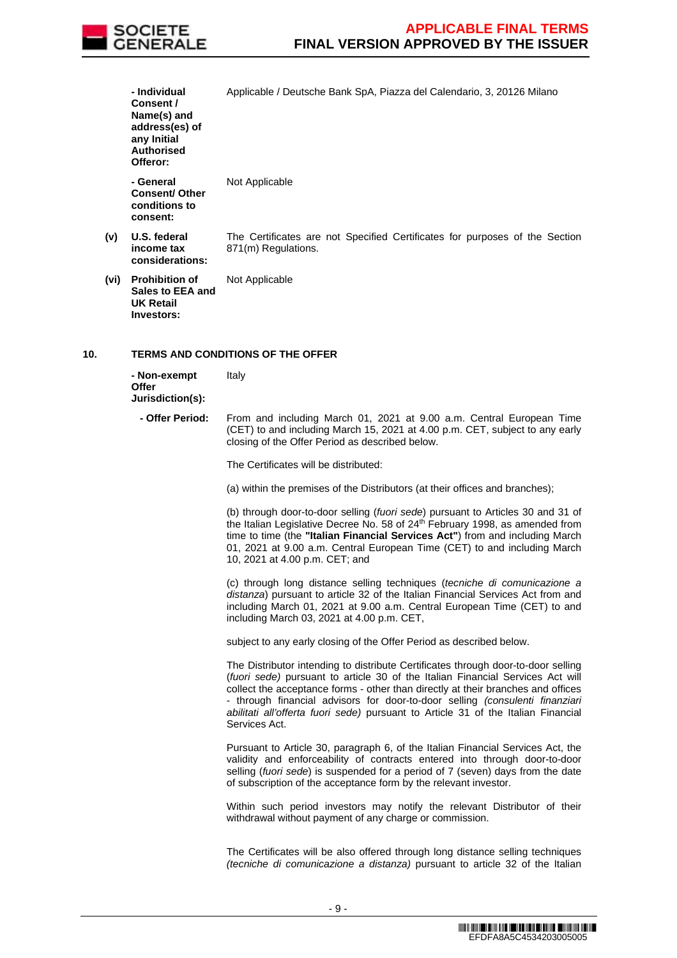

|     |     | - Individual<br>Consent /<br>Name(s) and<br>address(es) of<br>any Initial<br><b>Authorised</b><br>Offeror: | Applicable / Deutsche Bank SpA, Piazza del Calendario, 3, 20126 Milano                                                                                                                                                                                                                                                                                                                                                                        |
|-----|-----|------------------------------------------------------------------------------------------------------------|-----------------------------------------------------------------------------------------------------------------------------------------------------------------------------------------------------------------------------------------------------------------------------------------------------------------------------------------------------------------------------------------------------------------------------------------------|
|     |     | - General<br><b>Consent/ Other</b><br>conditions to<br>consent:                                            | Not Applicable                                                                                                                                                                                                                                                                                                                                                                                                                                |
|     | (v) | U.S. federal<br>income tax<br>considerations:                                                              | The Certificates are not Specified Certificates for purposes of the Section<br>871(m) Regulations.                                                                                                                                                                                                                                                                                                                                            |
|     |     | (vi) Prohibition of<br>Sales to EEA and<br><b>UK Retail</b><br>Investors:                                  | Not Applicable                                                                                                                                                                                                                                                                                                                                                                                                                                |
| 10. |     |                                                                                                            | <b>TERMS AND CONDITIONS OF THE OFFER</b>                                                                                                                                                                                                                                                                                                                                                                                                      |
|     |     | - Non-exempt<br><b>Offer</b><br>Jurisdiction(s):                                                           | Italy                                                                                                                                                                                                                                                                                                                                                                                                                                         |
|     |     | - Offer Period:                                                                                            | From and including March 01, 2021 at 9.00 a.m. Central European Time<br>(CET) to and including March 15, 2021 at 4.00 p.m. CET, subject to any early<br>closing of the Offer Period as described below.                                                                                                                                                                                                                                       |
|     |     |                                                                                                            | The Certificates will be distributed:                                                                                                                                                                                                                                                                                                                                                                                                         |
|     |     |                                                                                                            | (a) within the premises of the Distributors (at their offices and branches);                                                                                                                                                                                                                                                                                                                                                                  |
|     |     |                                                                                                            | (b) through door-to-door selling (fuori sede) pursuant to Articles 30 and 31 of<br>the Italian Legislative Decree No. 58 of 24th February 1998, as amended from<br>time to time (the "Italian Financial Services Act") from and including March<br>01, 2021 at 9.00 a.m. Central European Time (CET) to and including March<br>10, 2021 at 4.00 p.m. CET; and                                                                                 |
|     |     |                                                                                                            | (c) through long distance selling techniques (tecniche di comunicazione a<br>distanza) pursuant to article 32 of the Italian Financial Services Act from and<br>including March 01, 2021 at 9.00 a.m. Central European Time (CET) to and<br>including March 03, 2021 at 4.00 p.m. CET,                                                                                                                                                        |
|     |     |                                                                                                            | subject to any early closing of the Offer Period as described below.                                                                                                                                                                                                                                                                                                                                                                          |
|     |     |                                                                                                            | The Distributor intending to distribute Certificates through door-to-door selling<br>(fuori sede) pursuant to article 30 of the Italian Financial Services Act will<br>collect the acceptance forms - other than directly at their branches and offices<br>- through financial advisors for door-to-door selling (consulenti finanziari<br>abilitati all'offerta fuori sede) pursuant to Article 31 of the Italian Financial<br>Services Act. |
|     |     |                                                                                                            | Pursuant to Article 30, paragraph 6, of the Italian Financial Services Act, the<br>validity and enforceability of contracts entered into through door-to-door<br>selling (fuori sede) is suspended for a period of 7 (seven) days from the date<br>of subscription of the acceptance form by the relevant investor.                                                                                                                           |
|     |     |                                                                                                            | Within such period investors may notify the relevant Distributor of their<br>withdrawal without payment of any charge or commission.                                                                                                                                                                                                                                                                                                          |
|     |     |                                                                                                            | The Certificates will be also offered through long distance selling techniques<br>(tecniche di comunicazione a distanza) pursuant to article 32 of the Italian                                                                                                                                                                                                                                                                                |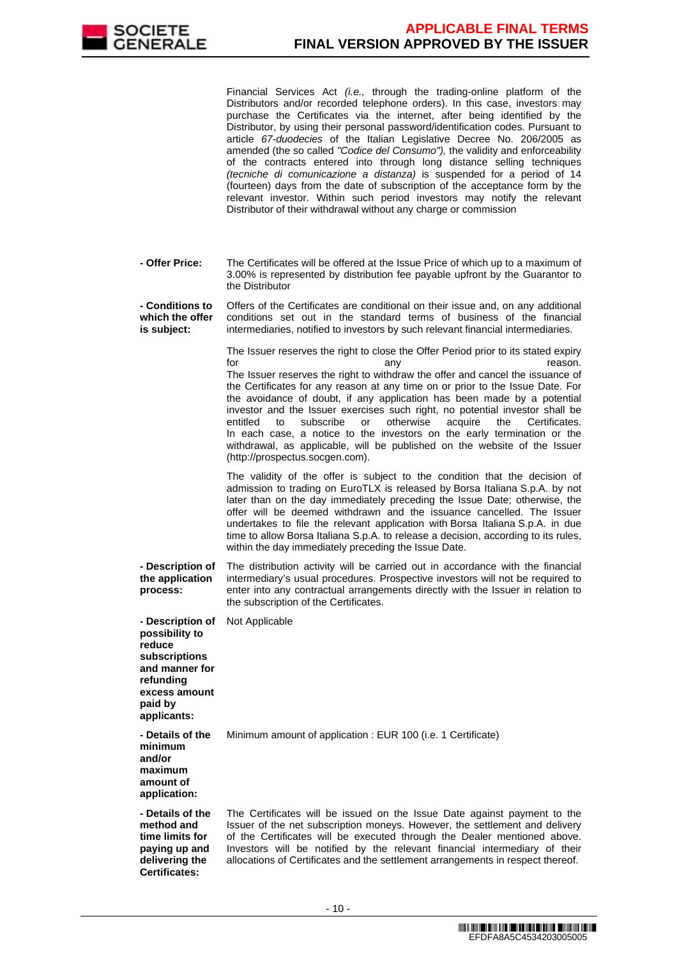

Financial Services Act (i.e., through the trading-online platform of the Distributors and/or recorded telephone orders). In this case, investors may purchase the Certificates via the internet, after being identified by the Distributor, by using their personal password/identification codes. Pursuant to article 67-duodecies of the Italian Legislative Decree No. 206/2005 as amended (the so called "Codice del Consumo"), the validity and enforceability of the contracts entered into through long distance selling techniques (tecniche di comunicazione a distanza) is suspended for a period of 14 (fourteen) days from the date of subscription of the acceptance form by the relevant investor. Within such period investors may notify the relevant Distributor of their withdrawal without any charge or commission

 **- Offer Price:** The Certificates will be offered at the Issue Price of which up to a maximum of 3.00% is represented by distribution fee payable upfront by the Guarantor to the Distributor

 **- Conditions to which the offer is subject:** Offers of the Certificates are conditional on their issue and, on any additional conditions set out in the standard terms of business of the financial intermediaries, notified to investors by such relevant financial intermediaries.

> The Issuer reserves the right to close the Offer Period prior to its stated expiry for the contract of the contract of the contract any contract of the contract of the contract of the contract o The Issuer reserves the right to withdraw the offer and cancel the issuance of the Certificates for any reason at any time on or prior to the Issue Date. For the avoidance of doubt, if any application has been made by a potential investor and the Issuer exercises such right, no potential investor shall be entitled to subscribe or otherwise acquire the Certificates. In each case, a notice to the investors on the early termination or the withdrawal, as applicable, will be published on the website of the Issuer (http://prospectus.socgen.com).

> The validity of the offer is subject to the condition that the decision of admission to trading on EuroTLX is released by Borsa Italiana S.p.A. by not later than on the day immediately preceding the Issue Date; otherwise, the offer will be deemed withdrawn and the issuance cancelled. The Issuer undertakes to file the relevant application with Borsa Italiana S.p.A. in due time to allow Borsa Italiana S.p.A. to release a decision, according to its rules, within the day immediately preceding the Issue Date.

 **- Description of the application process:** The distribution activity will be carried out in accordance with the financial intermediary's usual procedures. Prospective investors will not be required to enter into any contractual arrangements directly with the Issuer in relation to the subscription of the Certificates.

 **- Description of possibility to reduce subscriptions and manner for refunding excess amount paid by applicants:** Not Applicable

 **- Details of the**  Minimum amount of application : EUR 100 (i.e. 1 Certificate)

**and/or maximum amount of application:**

**minimum** 

 **- Details of the method and time limits for paying up and delivering the Certificates:**

The Certificates will be issued on the Issue Date against payment to the Issuer of the net subscription moneys. However, the settlement and delivery of the Certificates will be executed through the Dealer mentioned above. Investors will be notified by the relevant financial intermediary of their allocations of Certificates and the settlement arrangements in respect thereof.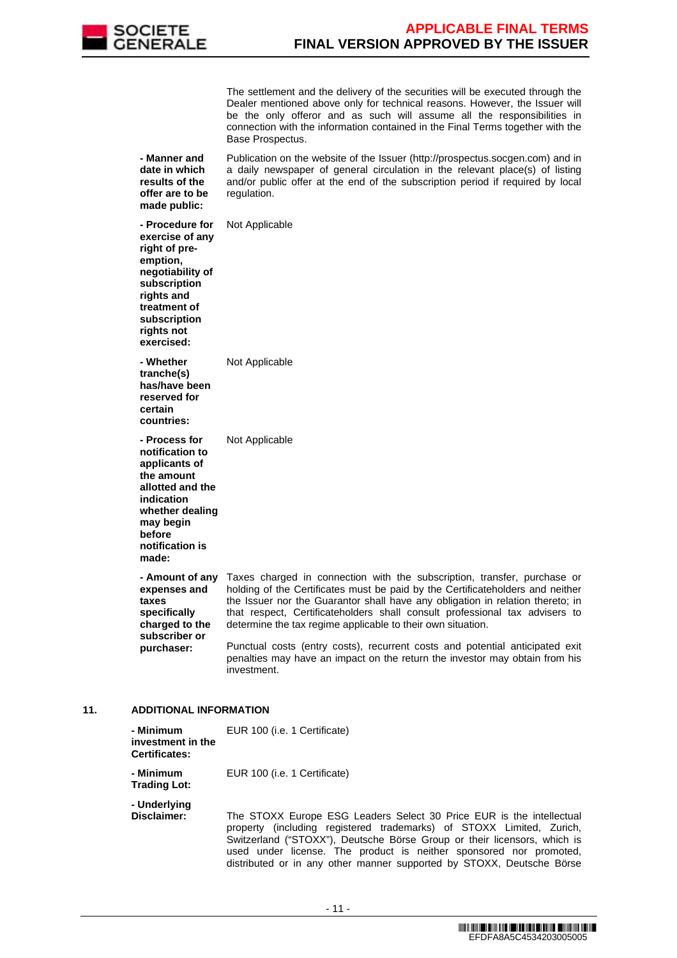

 The settlement and the delivery of the securities will be executed through the Dealer mentioned above only for technical reasons. However, the Issuer will be the only offeror and as such will assume all the responsibilities in connection with the information contained in the Final Terms together with the Base Prospectus.

 **- Manner and date in which results of the offer are to be made public:** Publication on the website of the Issuer (http://prospectus.socgen.com) and in a daily newspaper of general circulation in the relevant place(s) of listing and/or public offer at the end of the subscription period if required by local regulation.

 **- Procedure for exercise of any right of preemption, negotiability of subscription rights and treatment of subscription rights not exercised:** Not Applicable **- Whether tranche(s) has/have been reserved for certain countries:** Not Applicable **- Process for notification to applicants of the amount allotted and the indication whether dealing may begin before notification is made:** Not Applicable **expenses and taxes specifically charged to the subscriber or purchaser:**

 **- Amount of any**  Taxes charged in connection with the subscription, transfer, purchase or holding of the Certificates must be paid by the Certificateholders and neither the Issuer nor the Guarantor shall have any obligation in relation thereto; in that respect, Certificateholders shall consult professional tax advisers to determine the tax regime applicable to their own situation.

> Punctual costs (entry costs), recurrent costs and potential anticipated exit penalties may have an impact on the return the investor may obtain from his investment.

distributed or in any other manner supported by STOXX, Deutsche Börse

#### **11. ADDITIONAL INFORMATION**

| - Minimum<br>investment in the<br><b>Certificates:</b> | EUR 100 (i.e. 1 Certificate)                                                                                                                                                                                                                                                                   |
|--------------------------------------------------------|------------------------------------------------------------------------------------------------------------------------------------------------------------------------------------------------------------------------------------------------------------------------------------------------|
| - Minimum<br><b>Trading Lot:</b>                       | EUR 100 (i.e. 1 Certificate)                                                                                                                                                                                                                                                                   |
| - Underlying<br>Disclaimer:                            | The STOXX Europe ESG Leaders Select 30 Price EUR is the intellectual<br>property (including registered trademarks) of STOXX Limited, Zurich,<br>Switzerland ("STOXX"), Deutsche Börse Group or their licensors, which is<br>used under license. The product is neither sponsored nor promoted, |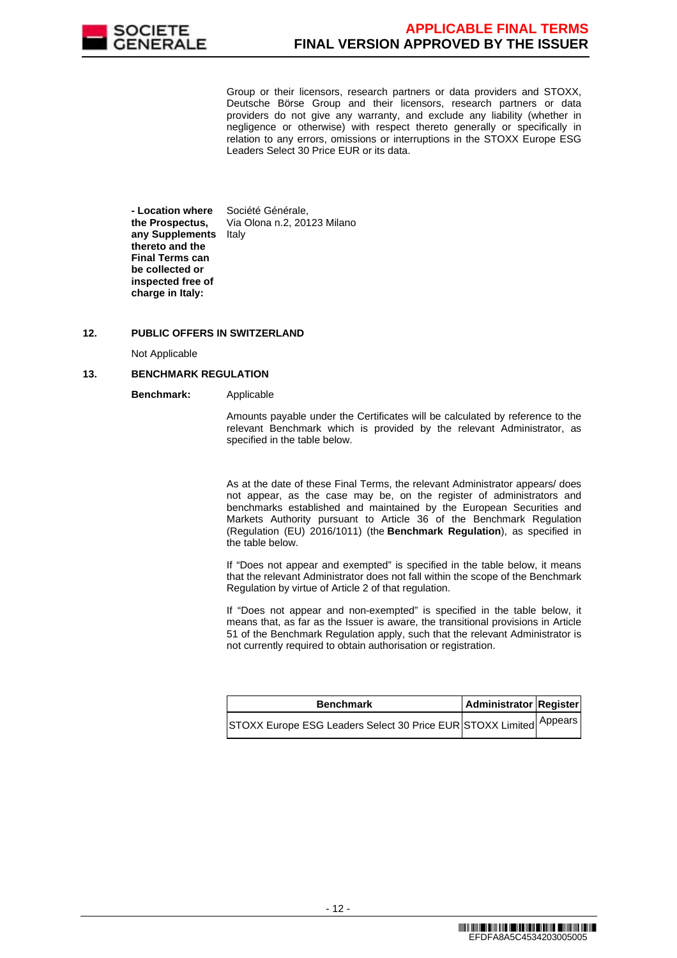

Group or their licensors, research partners or data providers and STOXX, Deutsche Börse Group and their licensors, research partners or data providers do not give any warranty, and exclude any liability (whether in negligence or otherwise) with respect thereto generally or specifically in relation to any errors, omissions or interruptions in the STOXX Europe ESG Leaders Select 30 Price EUR or its data.

 **- Location where the Prospectus, any Supplements**  Italy **thereto and the Final Terms can be collected or inspected free of charge in Italy:** Société Générale, Via Olona n.2, 20123 Milano

## **12. PUBLIC OFFERS IN SWITZERLAND**

Not Applicable

## **13. BENCHMARK REGULATION**

**Benchmark:** Applicable

Amounts payable under the Certificates will be calculated by reference to the relevant Benchmark which is provided by the relevant Administrator, as specified in the table below.

As at the date of these Final Terms, the relevant Administrator appears/ does not appear, as the case may be, on the register of administrators and benchmarks established and maintained by the European Securities and Markets Authority pursuant to Article 36 of the Benchmark Regulation (Regulation (EU) 2016/1011) (the **Benchmark Regulation**), as specified in the table below.

If "Does not appear and exempted" is specified in the table below, it means that the relevant Administrator does not fall within the scope of the Benchmark Regulation by virtue of Article 2 of that regulation.

If "Does not appear and non-exempted" is specified in the table below, it means that, as far as the Issuer is aware, the transitional provisions in Article 51 of the Benchmark Regulation apply, such that the relevant Administrator is not currently required to obtain authorisation or registration.

| <b>Benchmark</b>                                                    | Administrator Register |  |
|---------------------------------------------------------------------|------------------------|--|
| ISTOXX Europe ESG Leaders Select 30 Price EUR STOXX Limited Appears |                        |  |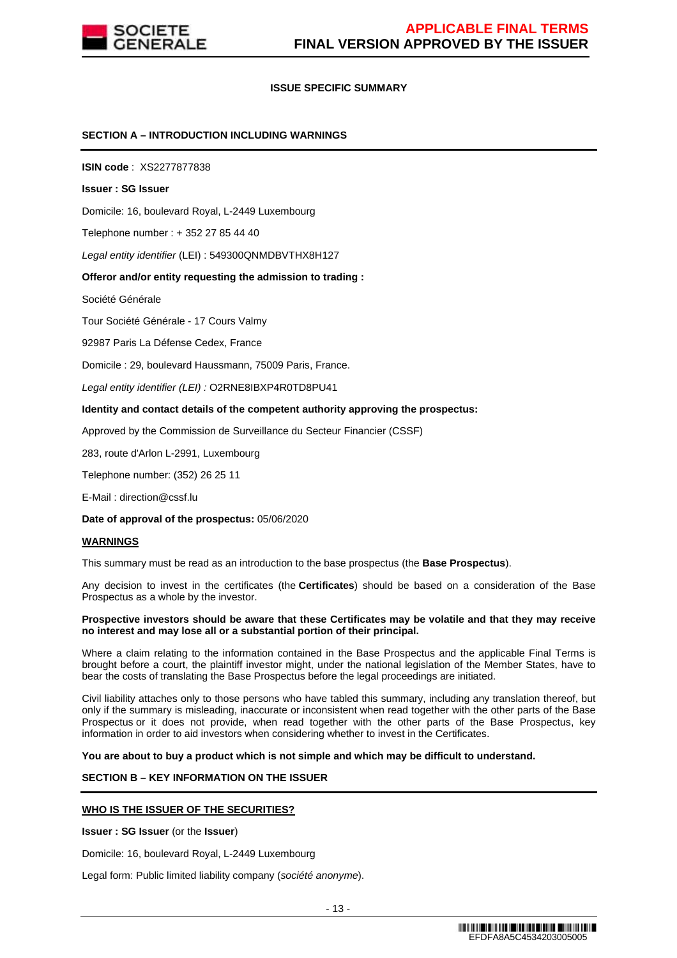

## **ISSUE SPECIFIC SUMMARY**

## **SECTION A – INTRODUCTION INCLUDING WARNINGS**

**ISIN code** : XS2277877838

#### **Issuer : SG Issuer**

Domicile: 16, boulevard Royal, L-2449 Luxembourg

Telephone number : + 352 27 85 44 40

Legal entity identifier (LEI) : 549300QNMDBVTHX8H127

#### **Offeror and/or entity requesting the admission to trading :**

Société Générale

Tour Société Générale - 17 Cours Valmy

92987 Paris La Défense Cedex, France

Domicile : 29, boulevard Haussmann, 75009 Paris, France.

Legal entity identifier (LEI) : O2RNE8IBXP4R0TD8PU41

#### **Identity and contact details of the competent authority approving the prospectus:**

Approved by the Commission de Surveillance du Secteur Financier (CSSF)

283, route d'Arlon L-2991, Luxembourg

Telephone number: (352) 26 25 11

E-Mail : direction@cssf.lu

**Date of approval of the prospectus:** 05/06/2020

#### **WARNINGS**

This summary must be read as an introduction to the base prospectus (the **Base Prospectus**).

Any decision to invest in the certificates (the **Certificates**) should be based on a consideration of the Base Prospectus as a whole by the investor.

#### **Prospective investors should be aware that these Certificates may be volatile and that they may receive no interest and may lose all or a substantial portion of their principal.**

Where a claim relating to the information contained in the Base Prospectus and the applicable Final Terms is brought before a court, the plaintiff investor might, under the national legislation of the Member States, have to bear the costs of translating the Base Prospectus before the legal proceedings are initiated.

Civil liability attaches only to those persons who have tabled this summary, including any translation thereof, but only if the summary is misleading, inaccurate or inconsistent when read together with the other parts of the Base Prospectus or it does not provide, when read together with the other parts of the Base Prospectus, key information in order to aid investors when considering whether to invest in the Certificates.

**You are about to buy a product which is not simple and which may be difficult to understand.**

# **SECTION B – KEY INFORMATION ON THE ISSUER**

#### **WHO IS THE ISSUER OF THE SECURITIES?**

**Issuer : SG Issuer** (or the **Issuer**)

Domicile: 16, boulevard Royal, L-2449 Luxembourg

Legal form: Public limited liability company (société anonyme).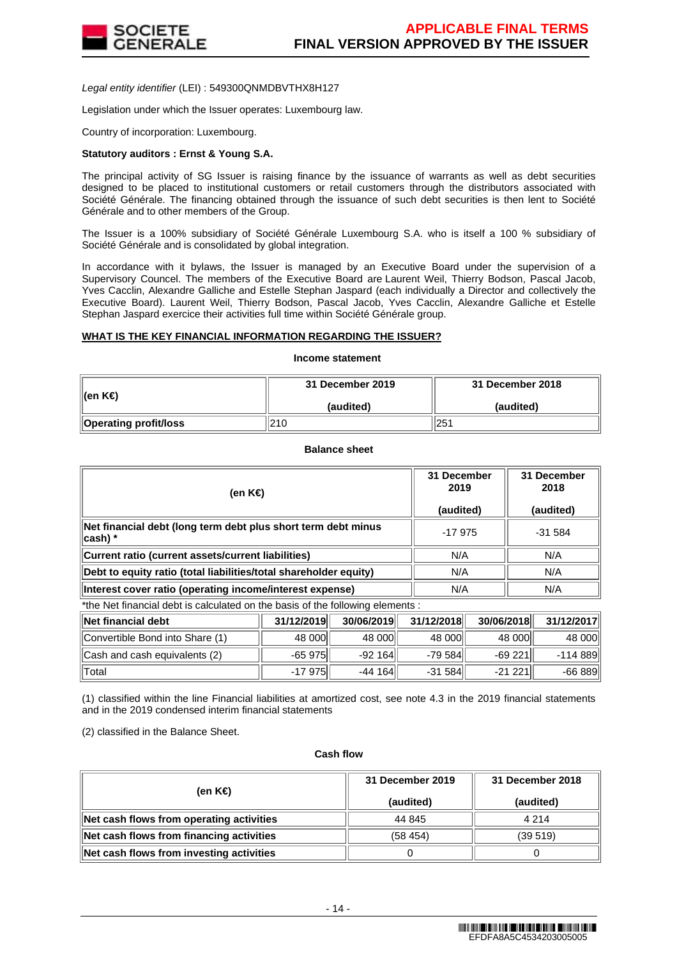

Legal entity identifier (LEI) : 549300QNMDBVTHX8H127

Legislation under which the Issuer operates: Luxembourg law.

Country of incorporation: Luxembourg.

#### **Statutory auditors : Ernst & Young S.A.**

The principal activity of SG Issuer is raising finance by the issuance of warrants as well as debt securities designed to be placed to institutional customers or retail customers through the distributors associated with Société Générale. The financing obtained through the issuance of such debt securities is then lent to Société Générale and to other members of the Group.

The Issuer is a 100% subsidiary of Société Générale Luxembourg S.A. who is itself a 100 % subsidiary of Société Générale and is consolidated by global integration.

In accordance with it bylaws, the Issuer is managed by an Executive Board under the supervision of a Supervisory Councel. The members of the Executive Board are Laurent Weil, Thierry Bodson, Pascal Jacob, Yves Cacclin, Alexandre Galliche and Estelle Stephan Jaspard (each individually a Director and collectively the Executive Board). Laurent Weil, Thierry Bodson, Pascal Jacob, Yves Cacclin, Alexandre Galliche et Estelle Stephan Jaspard exercice their activities full time within Société Générale group.

#### **WHAT IS THE KEY FINANCIAL INFORMATION REGARDING THE ISSUER?**

## **Income statement**

| ∥(en K€)                     | 31 December 2019 | 31 December 2018 |  |
|------------------------------|------------------|------------------|--|
|                              | (audited)        | (audited)        |  |
| <b>Operating profit/loss</b> | 210              | 251              |  |

**Balance sheet**

| (en K€)                                                                     | 31 December<br>2019<br>(audited) | 31 December<br>2018<br>(audited) |
|-----------------------------------------------------------------------------|----------------------------------|----------------------------------|
| Net financial debt (long term debt plus short term debt minus<br>$ cash) *$ | $-17975$                         | $-31584$                         |
| Current ratio (current assets/current liabilities)                          | N/A                              | N/A                              |
| Debt to equity ratio (total liabilities/total shareholder equity)           | N/A                              | N/A                              |
| Interest cover ratio (operating income/interest expense)                    | N/A                              | N/A                              |

\*the Net financial debt is calculated on the basis of the following elements :

| ∥Net financial debt             | 31/12/2019 | 30/06/2019 | 31/12/2018 | 30/06/2018 | 31/12/2017 |
|---------------------------------|------------|------------|------------|------------|------------|
| Convertible Bond into Share (1) | 48 000     | 48 000     | 48 000     | 48 000     | 48 000     |
| Cash and cash equivalents (2)   | $-65975$   | $-92164$   | $-79584$   | $-69221$   | -114 889   |
| ⊺Total                          | $-17975$   | $-44164$   | $-31584$   | $-21221$   | $-66889$   |

(1) classified within the line Financial liabilities at amortized cost, see note 4.3 in the 2019 financial statements and in the 2019 condensed interim financial statements

(2) classified in the Balance Sheet.

#### **Cash flow**

| (en K€)                                  | 31 December 2019<br>(audited) | 31 December 2018<br>(audited) |
|------------------------------------------|-------------------------------|-------------------------------|
| Net cash flows from operating activities | 44 845                        | 4 2 1 4                       |
| Net cash flows from financing activities | (58, 454)                     | (39519)                       |
| Net cash flows from investing activities |                               |                               |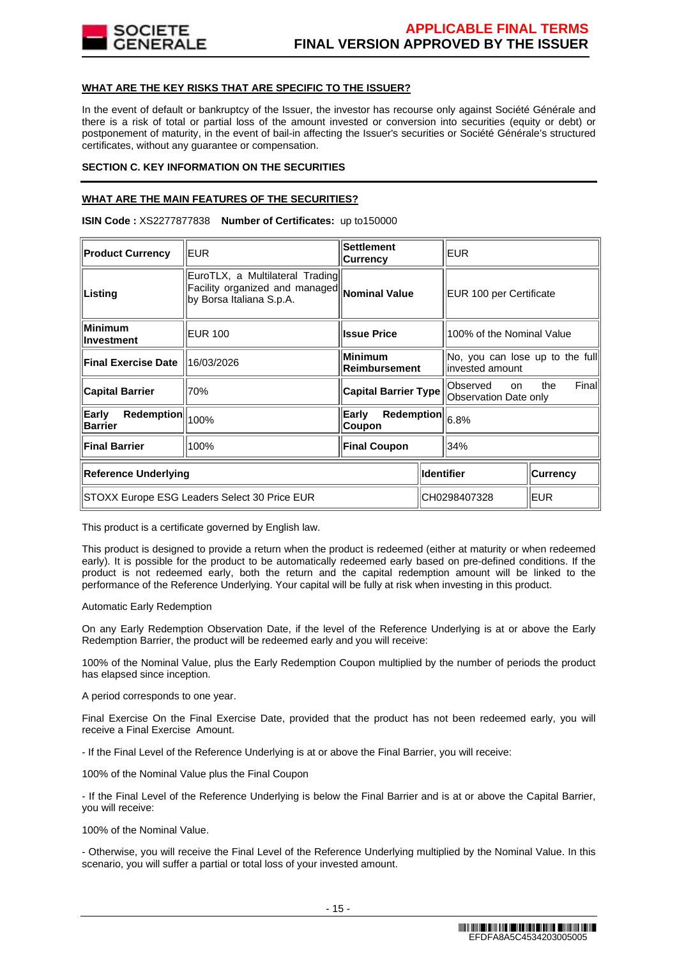

## **WHAT ARE THE KEY RISKS THAT ARE SPECIFIC TO THE ISSUER?**

In the event of default or bankruptcy of the Issuer, the investor has recourse only against Société Générale and there is a risk of total or partial loss of the amount invested or conversion into securities (equity or debt) or postponement of maturity, in the event of bail-in affecting the Issuer's securities or Société Générale's structured certificates, without any guarantee or compensation.

## **SECTION C. KEY INFORMATION ON THE SECURITIES**

## **WHAT ARE THE MAIN FEATURES OF THE SECURITIES?**

**ISIN Code :** XS2277877838 **Number of Certificates:** up to150000

| <b>Product Currency</b>                      | EUR.                                                                                          | <b>Settlement</b><br><b>Currency</b>                            | EUR.                                                |                         |  |
|----------------------------------------------|-----------------------------------------------------------------------------------------------|-----------------------------------------------------------------|-----------------------------------------------------|-------------------------|--|
| Listing                                      | EuroTLX, a Multilateral Trading<br>Facility organized and managed<br>by Borsa Italiana S.p.A. | Nominal Value                                                   |                                                     | EUR 100 per Certificate |  |
| <b>Minimum</b><br>Investment                 | <b>EUR 100</b>                                                                                | <b>Issue Price</b>                                              | 100% of the Nominal Value                           |                         |  |
| <b>Final Exercise Date</b>                   | 16/03/2026                                                                                    | <b>Minimum</b><br>Reimbursement                                 | No, you can lose up to the full<br>linvested amount |                         |  |
| <b>Capital Barrier</b>                       | 70%                                                                                           | <b>Capital Barrier Type</b>                                     | Observed<br><b>on</b><br>Observation Date only      | Finall<br>the           |  |
| Redemption<br>Early<br><b>Barrier</b>        | 100%                                                                                          | Early<br>$\overline{\text{Redemption}}\big\ _{6.8\%}$<br>Coupon |                                                     |                         |  |
| <b>Final Barrier</b>                         | 100%                                                                                          | <b>Final Coupon</b>                                             | 34%                                                 |                         |  |
| <b>Reference Underlying</b>                  |                                                                                               |                                                                 | <b>Identifier</b><br><b>Currency</b>                |                         |  |
| STOXX Europe ESG Leaders Select 30 Price EUR |                                                                                               |                                                                 | <b>EUR</b><br>CH0298407328                          |                         |  |

This product is a certificate governed by English law.

This product is designed to provide a return when the product is redeemed (either at maturity or when redeemed early). It is possible for the product to be automatically redeemed early based on pre-defined conditions. If the product is not redeemed early, both the return and the capital redemption amount will be linked to the performance of the Reference Underlying. Your capital will be fully at risk when investing in this product.

#### Automatic Early Redemption

On any Early Redemption Observation Date, if the level of the Reference Underlying is at or above the Early Redemption Barrier, the product will be redeemed early and you will receive:

100% of the Nominal Value, plus the Early Redemption Coupon multiplied by the number of periods the product has elapsed since inception.

A period corresponds to one year.

Final Exercise On the Final Exercise Date, provided that the product has not been redeemed early, you will receive a Final Exercise Amount.

- If the Final Level of the Reference Underlying is at or above the Final Barrier, you will receive:

100% of the Nominal Value plus the Final Coupon

- If the Final Level of the Reference Underlying is below the Final Barrier and is at or above the Capital Barrier, you will receive:

100% of the Nominal Value.

- Otherwise, you will receive the Final Level of the Reference Underlying multiplied by the Nominal Value. In this scenario, you will suffer a partial or total loss of your invested amount.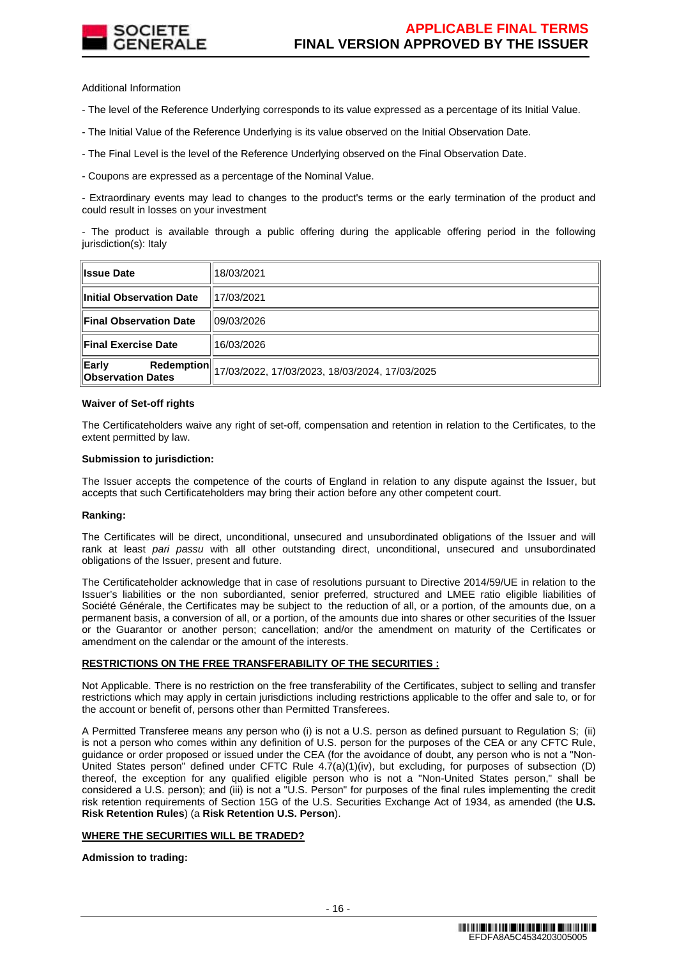

Additional Information

- The level of the Reference Underlying corresponds to its value expressed as a percentage of its Initial Value.

- The Initial Value of the Reference Underlying is its value observed on the Initial Observation Date.

- The Final Level is the level of the Reference Underlying observed on the Final Observation Date.

- Coupons are expressed as a percentage of the Nominal Value.

- Extraordinary events may lead to changes to the product's terms or the early termination of the product and could result in losses on your investment

- The product is available through a public offering during the applicable offering period in the following jurisdiction(s): Italy

| <b>Issue Date</b>                                      | 18/03/2021                                     |
|--------------------------------------------------------|------------------------------------------------|
| Initial Observation Date                               | 117/03/2021                                    |
| <b>Final Observation Date</b>                          | 09/03/2026                                     |
| <b>Final Exercise Date</b>                             | 16/03/2026                                     |
| Early<br><b>Redemption</b><br><b>Observation Dates</b> | 17/03/2022, 17/03/2023, 18/03/2024, 17/03/2025 |

#### **Waiver of Set-off rights**

The Certificateholders waive any right of set-off, compensation and retention in relation to the Certificates, to the extent permitted by law.

#### **Submission to jurisdiction:**

The Issuer accepts the competence of the courts of England in relation to any dispute against the Issuer, but accepts that such Certificateholders may bring their action before any other competent court.

#### **Ranking:**

The Certificates will be direct, unconditional, unsecured and unsubordinated obligations of the Issuer and will rank at least pari passu with all other outstanding direct, unconditional, unsecured and unsubordinated obligations of the Issuer, present and future.

The Certificateholder acknowledge that in case of resolutions pursuant to Directive 2014/59/UE in relation to the Issuer's liabilities or the non subordianted, senior preferred, structured and LMEE ratio eligible liabilities of Société Générale, the Certificates may be subject to the reduction of all, or a portion, of the amounts due, on a permanent basis, a conversion of all, or a portion, of the amounts due into shares or other securities of the Issuer or the Guarantor or another person; cancellation; and/or the amendment on maturity of the Certificates or amendment on the calendar or the amount of the interests.

#### **RESTRICTIONS ON THE FREE TRANSFERABILITY OF THE SECURITIES :**

Not Applicable. There is no restriction on the free transferability of the Certificates, subject to selling and transfer restrictions which may apply in certain jurisdictions including restrictions applicable to the offer and sale to, or for the account or benefit of, persons other than Permitted Transferees.

A Permitted Transferee means any person who (i) is not a U.S. person as defined pursuant to Regulation S; (ii) is not a person who comes within any definition of U.S. person for the purposes of the CEA or any CFTC Rule, guidance or order proposed or issued under the CEA (for the avoidance of doubt, any person who is not a "Non-United States person" defined under CFTC Rule 4.7(a)(1)(iv), but excluding, for purposes of subsection (D) thereof, the exception for any qualified eligible person who is not a "Non-United States person," shall be considered a U.S. person); and (iii) is not a "U.S. Person" for purposes of the final rules implementing the credit risk retention requirements of Section 15G of the U.S. Securities Exchange Act of 1934, as amended (the **U.S. Risk Retention Rules**) (a **Risk Retention U.S. Person**).

#### **WHERE THE SECURITIES WILL BE TRADED?**

**Admission to trading:**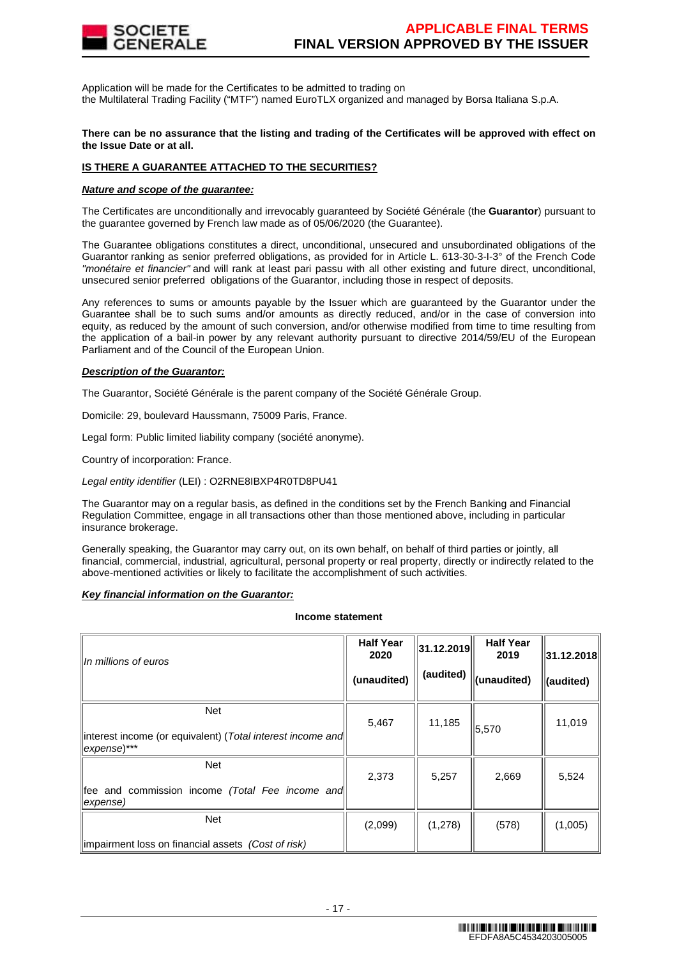

Application will be made for the Certificates to be admitted to trading on the Multilateral Trading Facility ("MTF") named EuroTLX organized and managed by Borsa Italiana S.p.A.

#### **There can be no assurance that the listing and trading of the Certificates will be approved with effect on the Issue Date or at all.**

# **IS THERE A GUARANTEE ATTACHED TO THE SECURITIES?**

#### **Nature and scope of the guarantee:**

The Certificates are unconditionally and irrevocably guaranteed by Société Générale (the **Guarantor**) pursuant to the guarantee governed by French law made as of 05/06/2020 (the Guarantee).

The Guarantee obligations constitutes a direct, unconditional, unsecured and unsubordinated obligations of the Guarantor ranking as senior preferred obligations, as provided for in Article L. 613-30-3-I-3° of the French Code "monétaire et financier" and will rank at least pari passu with all other existing and future direct, unconditional, unsecured senior preferred obligations of the Guarantor, including those in respect of deposits.

Any references to sums or amounts payable by the Issuer which are guaranteed by the Guarantor under the Guarantee shall be to such sums and/or amounts as directly reduced, and/or in the case of conversion into equity, as reduced by the amount of such conversion, and/or otherwise modified from time to time resulting from the application of a bail-in power by any relevant authority pursuant to directive 2014/59/EU of the European Parliament and of the Council of the European Union.

#### **Description of the Guarantor:**

The Guarantor, Société Générale is the parent company of the Société Générale Group.

Domicile: 29, boulevard Haussmann, 75009 Paris, France.

Legal form: Public limited liability company (société anonyme).

Country of incorporation: France.

Legal entity identifier (LEI) : O2RNE8IBXP4R0TD8PU41

The Guarantor may on a regular basis, as defined in the conditions set by the French Banking and Financial Regulation Committee, engage in all transactions other than those mentioned above, including in particular insurance brokerage.

Generally speaking, the Guarantor may carry out, on its own behalf, on behalf of third parties or jointly, all financial, commercial, industrial, agricultural, personal property or real property, directly or indirectly related to the above-mentioned activities or likely to facilitate the accomplishment of such activities.

### **Key financial information on the Guarantor:**

## **Income statement**

| In millions of euros                                                     | <b>Half Year</b><br>2020 | 31.12.2019 | <b>Half Year</b><br>2019 | 31.12.2018 |
|--------------------------------------------------------------------------|--------------------------|------------|--------------------------|------------|
|                                                                          | (unaudited)              | (audited)  | (unaudited)              | (audited)  |
| <b>Net</b><br>interest income (or equivalent) (Total interest income and | 5,467                    | 11,185     | 5,570                    | 11,019     |
| expense)***                                                              |                          |            |                          |            |
| <b>Net</b>                                                               | 2,373                    | 5,257      | 2,669                    | 5,524      |
| fee and commission income (Total Fee income and<br>expense)              |                          |            |                          |            |
| <b>Net</b>                                                               | (2,099)                  | (1,278)    | (578)                    | (1,005)    |
| impairment loss on financial assets (Cost of risk)                       |                          |            |                          |            |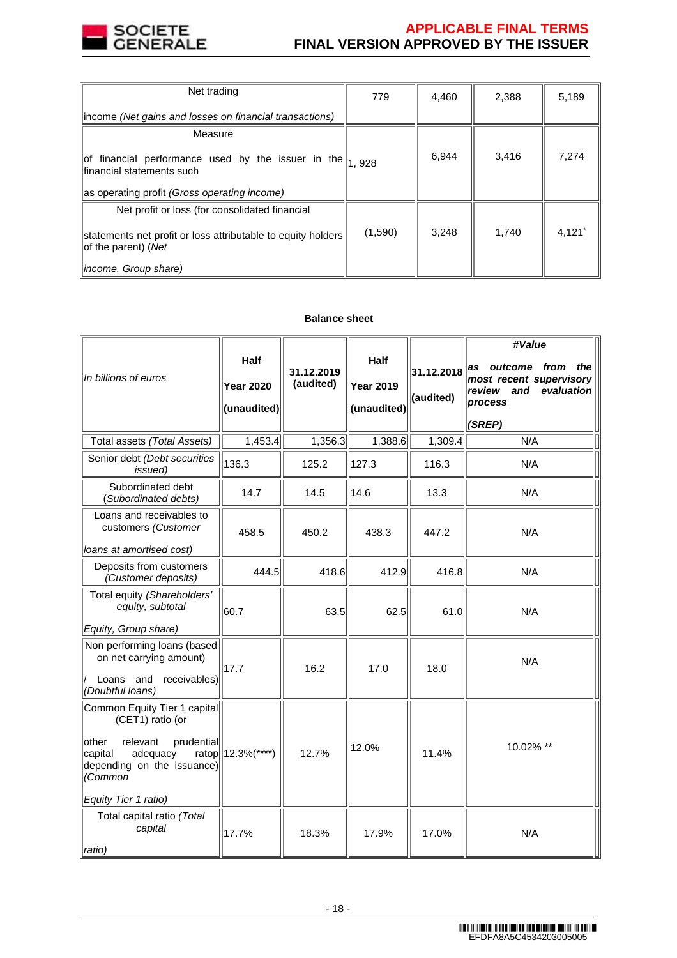

# **APPLICABLE FINAL TERMS FINAL VERSION APPROVED BY THE ISSUER**

| Net trading                                                                                                        | 779     | 4,460 | 2,388 | 5,189                |
|--------------------------------------------------------------------------------------------------------------------|---------|-------|-------|----------------------|
| income (Net gains and losses on financial transactions)                                                            |         |       |       |                      |
| Measure                                                                                                            |         |       |       |                      |
| $\left\ $ of financial performance used by the issuer in the $\left\  \right\ _1$ 928<br>financial statements such |         | 6,944 | 3,416 | 7,274                |
| as operating profit (Gross operating income)                                                                       |         |       |       |                      |
| Net profit or loss (for consolidated financial                                                                     |         |       |       |                      |
| statements net profit or loss attributable to equity holders<br>of the parent) (Net                                | (1,590) | 3,248 | 1.740 | $4,121$ <sup>*</sup> |
| income, Group share)                                                                                               |         |       |       |                      |

# **Balance sheet**

| In billions of euros                                                                                                                                                        | <b>Half</b><br><b>Year 2020</b><br>(unaudited) | 31.12.2019<br>(audited) | <b>Half</b><br><b>Year 2019</b><br>(unaudited) | 31.12.2018<br>(audited) | #Value<br>as outcome<br>from<br>thel<br>most recent supervisory<br>evaluation<br>review and<br>process<br>(SREP) |
|-----------------------------------------------------------------------------------------------------------------------------------------------------------------------------|------------------------------------------------|-------------------------|------------------------------------------------|-------------------------|------------------------------------------------------------------------------------------------------------------|
| Total assets (Total Assets)                                                                                                                                                 | 1,453.4                                        | 1,356.3                 | 1,388.6                                        | 1,309.4                 | N/A                                                                                                              |
| Senior debt (Debt securities<br>issued)                                                                                                                                     | 136.3                                          | 125.2                   | 127.3                                          | 116.3                   | N/A                                                                                                              |
| Subordinated debt<br>(Subordinated debts)                                                                                                                                   | 14.7                                           | 14.5                    | 14.6                                           | 13.3                    | N/A                                                                                                              |
| Loans and receivables to<br>customers (Customer<br>loans at amortised cost)                                                                                                 | 458.5                                          | 450.2                   | 438.3                                          | 447.2                   | N/A                                                                                                              |
| Deposits from customers<br>(Customer deposits)                                                                                                                              | 444.5                                          | 418.6                   | 412.9                                          | 416.8                   | N/A                                                                                                              |
| Total equity (Shareholders'<br>equity, subtotal<br>Equity, Group share)                                                                                                     | 60.7                                           | 63.5                    | 62.5                                           | 61.0                    | N/A                                                                                                              |
| Non performing loans (based<br>on net carrying amount)<br>receivables)<br>Loans and<br>(Doubtful loans)                                                                     | 17.7                                           | 16.2                    | 17.0                                           | 18.0                    | N/A                                                                                                              |
| Common Equity Tier 1 capital<br>(CET1) ratio (or<br>prudential<br>other<br>relevant<br>adequacy<br>capital<br>depending on the issuance)<br>(Common<br>Equity Tier 1 ratio) | ratop  12.3%(****)                             | 12.7%                   | 12.0%                                          | 11.4%                   | 10.02% **                                                                                                        |
| Total capital ratio (Total<br>capital<br>ratio)                                                                                                                             | 17.7%                                          | 18.3%                   | 17.9%                                          | 17.0%                   | N/A                                                                                                              |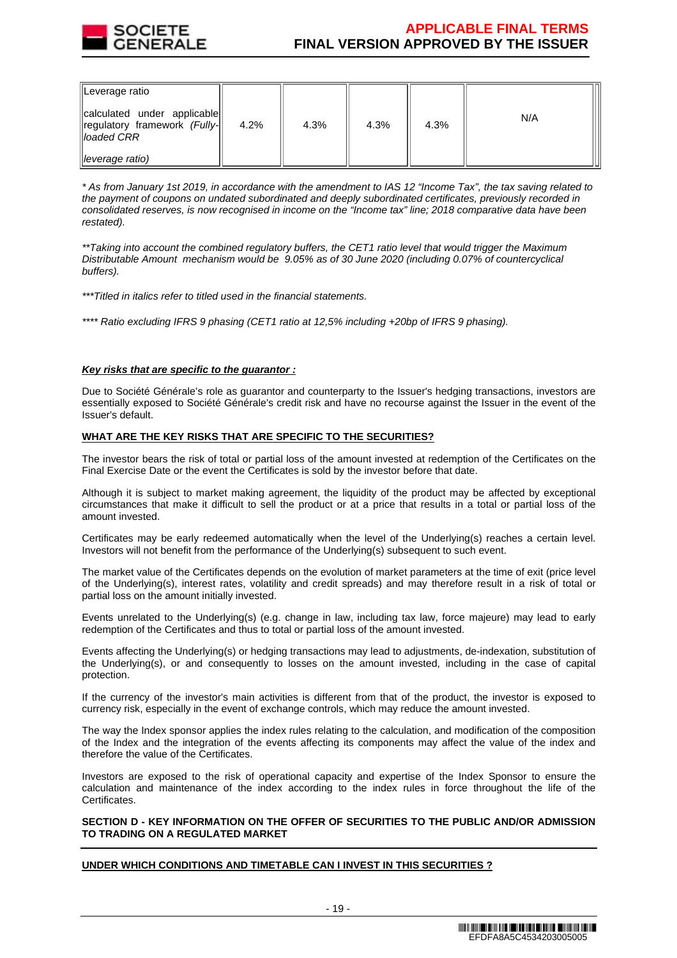

# **APPLICABLE FINAL TERMS FINAL VERSION APPROVED BY THE ISSUER**

| ∥Leverage ratio                                                                       |      |      |      |      |     |
|---------------------------------------------------------------------------------------|------|------|------|------|-----|
| calculated under applicable<br>  regulatory framework (Fully-<br>ll <i>loaded CRR</i> | 4.2% | 4.3% | 4.3% | 4.3% | N/A |
| $\parallel$ leverage ratio)                                                           |      |      |      |      |     |

\* As from January 1st 2019, in accordance with the amendment to IAS 12 "Income Tax", the tax saving related to the payment of coupons on undated subordinated and deeply subordinated certificates, previously recorded in consolidated reserves, is now recognised in income on the "Income tax" line; 2018 comparative data have been restated).

\*\*Taking into account the combined regulatory buffers, the CET1 ratio level that would trigger the Maximum Distributable Amount mechanism would be 9.05% as of 30 June 2020 (including 0.07% of countercyclical buffers).

\*\*\*Titled in italics refer to titled used in the financial statements.

\*\*\*\* Ratio excluding IFRS 9 phasing (CET1 ratio at 12,5% including +20bp of IFRS 9 phasing).

## **Key risks that are specific to the guarantor :**

Due to Société Générale's role as guarantor and counterparty to the Issuer's hedging transactions, investors are essentially exposed to Société Générale's credit risk and have no recourse against the Issuer in the event of the Issuer's default.

## **WHAT ARE THE KEY RISKS THAT ARE SPECIFIC TO THE SECURITIES?**

The investor bears the risk of total or partial loss of the amount invested at redemption of the Certificates on the Final Exercise Date or the event the Certificates is sold by the investor before that date.

Although it is subject to market making agreement, the liquidity of the product may be affected by exceptional circumstances that make it difficult to sell the product or at a price that results in a total or partial loss of the amount invested.

Certificates may be early redeemed automatically when the level of the Underlying(s) reaches a certain level. Investors will not benefit from the performance of the Underlying(s) subsequent to such event.

The market value of the Certificates depends on the evolution of market parameters at the time of exit (price level of the Underlying(s), interest rates, volatility and credit spreads) and may therefore result in a risk of total or partial loss on the amount initially invested.

Events unrelated to the Underlying(s) (e.g. change in law, including tax law, force majeure) may lead to early redemption of the Certificates and thus to total or partial loss of the amount invested.

Events affecting the Underlying(s) or hedging transactions may lead to adjustments, de-indexation, substitution of the Underlying(s), or and consequently to losses on the amount invested, including in the case of capital protection.

If the currency of the investor's main activities is different from that of the product, the investor is exposed to currency risk, especially in the event of exchange controls, which may reduce the amount invested.

The way the Index sponsor applies the index rules relating to the calculation, and modification of the composition of the Index and the integration of the events affecting its components may affect the value of the index and therefore the value of the Certificates.

Investors are exposed to the risk of operational capacity and expertise of the Index Sponsor to ensure the calculation and maintenance of the index according to the index rules in force throughout the life of the Certificates.

## **SECTION D - KEY INFORMATION ON THE OFFER OF SECURITIES TO THE PUBLIC AND/OR ADMISSION TO TRADING ON A REGULATED MARKET**

# **UNDER WHICH CONDITIONS AND TIMETABLE CAN I INVEST IN THIS SECURITIES ?**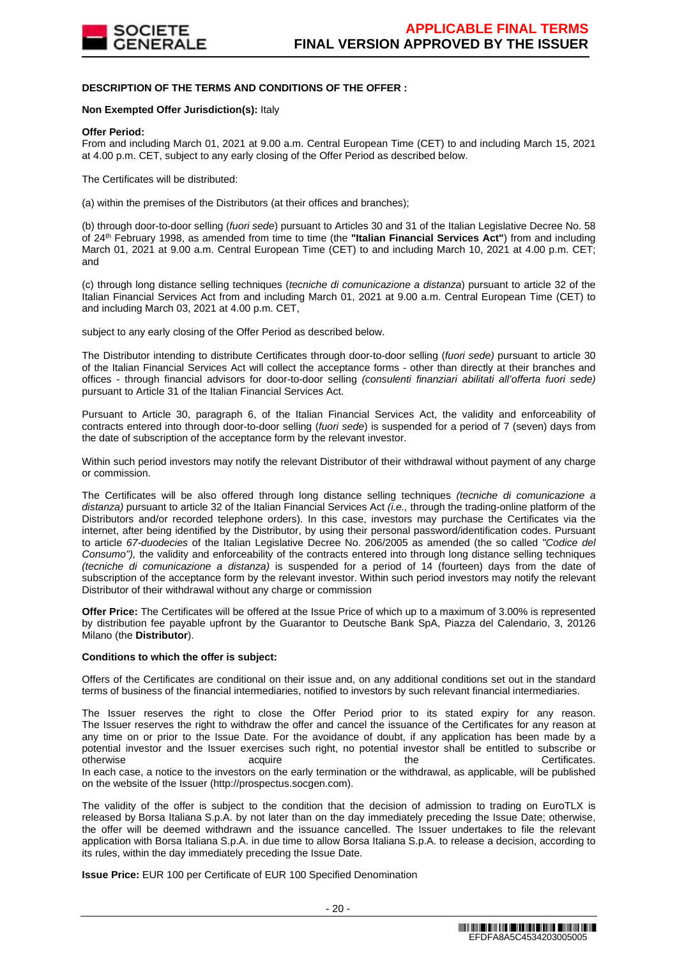

## **DESCRIPTION OF THE TERMS AND CONDITIONS OF THE OFFER :**

#### **Non Exempted Offer Jurisdiction(s):** Italy

#### **Offer Period:**

From and including March 01, 2021 at 9.00 a.m. Central European Time (CET) to and including March 15, 2021 at 4.00 p.m. CET, subject to any early closing of the Offer Period as described below.

The Certificates will be distributed:

(a) within the premises of the Distributors (at their offices and branches);

(b) through door-to-door selling (fuori sede) pursuant to Articles 30 and 31 of the Italian Legislative Decree No. 58 of 24th February 1998, as amended from time to time (the **"Italian Financial Services Act"**) from and including March 01, 2021 at 9.00 a.m. Central European Time (CET) to and including March 10, 2021 at 4.00 p.m. CET; and

(c) through long distance selling techniques (tecniche di comunicazione a distanza) pursuant to article 32 of the Italian Financial Services Act from and including March 01, 2021 at 9.00 a.m. Central European Time (CET) to and including March 03, 2021 at 4.00 p.m. CET,

subject to any early closing of the Offer Period as described below.

The Distributor intending to distribute Certificates through door-to-door selling (fuori sede) pursuant to article 30 of the Italian Financial Services Act will collect the acceptance forms - other than directly at their branches and offices - through financial advisors for door-to-door selling (consulenti finanziari abilitati all'offerta fuori sede) pursuant to Article 31 of the Italian Financial Services Act.

Pursuant to Article 30, paragraph 6, of the Italian Financial Services Act, the validity and enforceability of contracts entered into through door-to-door selling (fuori sede) is suspended for a period of 7 (seven) days from the date of subscription of the acceptance form by the relevant investor.

Within such period investors may notify the relevant Distributor of their withdrawal without payment of any charge or commission.

The Certificates will be also offered through long distance selling techniques (tecniche di comunicazione a distanza) pursuant to article 32 of the Italian Financial Services Act  $(i.e.,$  through the trading-online platform of the Distributors and/or recorded telephone orders). In this case, investors may purchase the Certificates via the internet, after being identified by the Distributor, by using their personal password/identification codes. Pursuant to article 67-duodecies of the Italian Legislative Decree No. 206/2005 as amended (the so called "Codice del Consumo"), the validity and enforceability of the contracts entered into through long distance selling techniques (tecniche di comunicazione a distanza) is suspended for a period of 14 (fourteen) days from the date of subscription of the acceptance form by the relevant investor. Within such period investors may notify the relevant Distributor of their withdrawal without any charge or commission

**Offer Price:** The Certificates will be offered at the Issue Price of which up to a maximum of 3.00% is represented by distribution fee payable upfront by the Guarantor to Deutsche Bank SpA, Piazza del Calendario, 3, 20126 Milano (the **Distributor**).

#### **Conditions to which the offer is subject:**

Offers of the Certificates are conditional on their issue and, on any additional conditions set out in the standard terms of business of the financial intermediaries, notified to investors by such relevant financial intermediaries.

The Issuer reserves the right to close the Offer Period prior to its stated expiry for any reason. The Issuer reserves the right to withdraw the offer and cancel the issuance of the Certificates for any reason at any time on or prior to the Issue Date. For the avoidance of doubt, if any application has been made by a potential investor and the Issuer exercises such right, no potential investor shall be entitled to subscribe or otherwise acquire acquire the the Certificates. In each case, a notice to the investors on the early termination or the withdrawal, as applicable, will be published on the website of the Issuer (http://prospectus.socgen.com).

The validity of the offer is subject to the condition that the decision of admission to trading on EuroTLX is released by Borsa Italiana S.p.A. by not later than on the day immediately preceding the Issue Date; otherwise, the offer will be deemed withdrawn and the issuance cancelled. The Issuer undertakes to file the relevant application with Borsa Italiana S.p.A. in due time to allow Borsa Italiana S.p.A. to release a decision, according to its rules, within the day immediately preceding the Issue Date.

**Issue Price:** EUR 100 per Certificate of EUR 100 Specified Denomination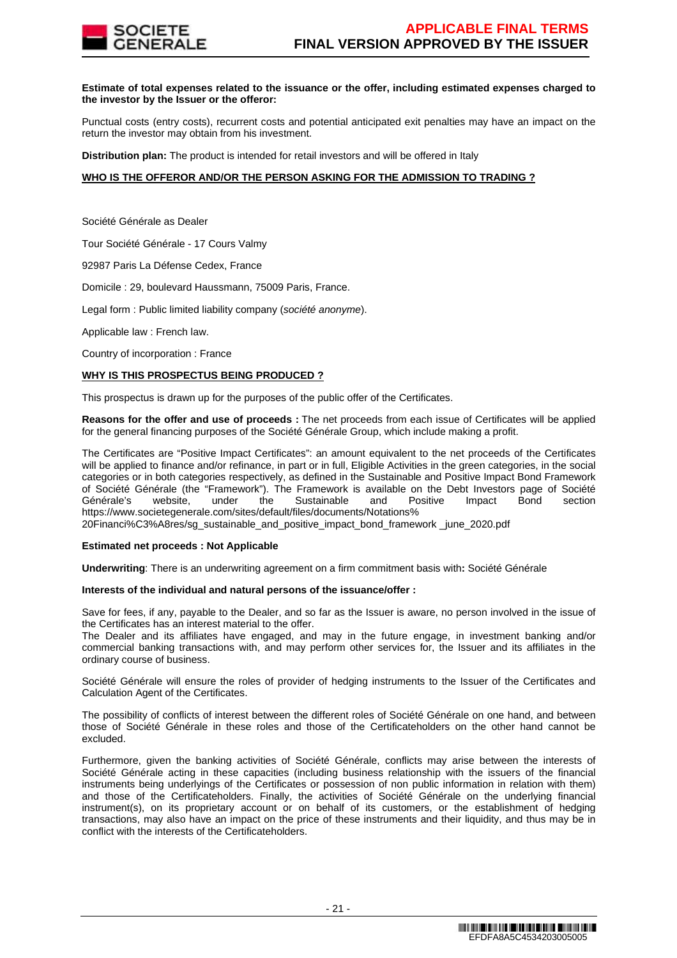

#### **Estimate of total expenses related to the issuance or the offer, including estimated expenses charged to the investor by the Issuer or the offeror:**

Punctual costs (entry costs), recurrent costs and potential anticipated exit penalties may have an impact on the return the investor may obtain from his investment.

**Distribution plan:** The product is intended for retail investors and will be offered in Italy

## **WHO IS THE OFFEROR AND/OR THE PERSON ASKING FOR THE ADMISSION TO TRADING ?**

Société Générale as Dealer

Tour Société Générale - 17 Cours Valmy

92987 Paris La Défense Cedex, France

Domicile : 29, boulevard Haussmann, 75009 Paris, France.

Legal form : Public limited liability company (société anonyme).

Applicable law : French law.

Country of incorporation : France

#### **WHY IS THIS PROSPECTUS BEING PRODUCED ?**

This prospectus is drawn up for the purposes of the public offer of the Certificates.

**Reasons for the offer and use of proceeds :** The net proceeds from each issue of Certificates will be applied for the general financing purposes of the Société Générale Group, which include making a profit.

The Certificates are "Positive Impact Certificates": an amount equivalent to the net proceeds of the Certificates will be applied to finance and/or refinance, in part or in full, Eligible Activities in the green categories, in the social categories or in both categories respectively, as defined in the Sustainable and Positive Impact Bond Framework of Société Générale (the "Framework"). The Framework is available on the Debt Investors page of Société Générale's website, under the Sustainable and Positive Impact Bond section https://www.societegenerale.com/sites/default/files/documents/Notations% 20Financi%C3%A8res/sg\_sustainable\_and\_positive\_impact\_bond\_framework \_june\_2020.pdf

#### **Estimated net proceeds : Not Applicable**

**Underwriting**: There is an underwriting agreement on a firm commitment basis with**:** Société Générale

#### **Interests of the individual and natural persons of the issuance/offer :**

Save for fees, if any, payable to the Dealer, and so far as the Issuer is aware, no person involved in the issue of the Certificates has an interest material to the offer.

The Dealer and its affiliates have engaged, and may in the future engage, in investment banking and/or commercial banking transactions with, and may perform other services for, the Issuer and its affiliates in the ordinary course of business.

Société Générale will ensure the roles of provider of hedging instruments to the Issuer of the Certificates and Calculation Agent of the Certificates.

The possibility of conflicts of interest between the different roles of Société Générale on one hand, and between those of Société Générale in these roles and those of the Certificateholders on the other hand cannot be excluded.

Furthermore, given the banking activities of Société Générale, conflicts may arise between the interests of Société Générale acting in these capacities (including business relationship with the issuers of the financial instruments being underlyings of the Certificates or possession of non public information in relation with them) and those of the Certificateholders. Finally, the activities of Société Générale on the underlying financial instrument(s), on its proprietary account or on behalf of its customers, or the establishment of hedging transactions, may also have an impact on the price of these instruments and their liquidity, and thus may be in conflict with the interests of the Certificateholders.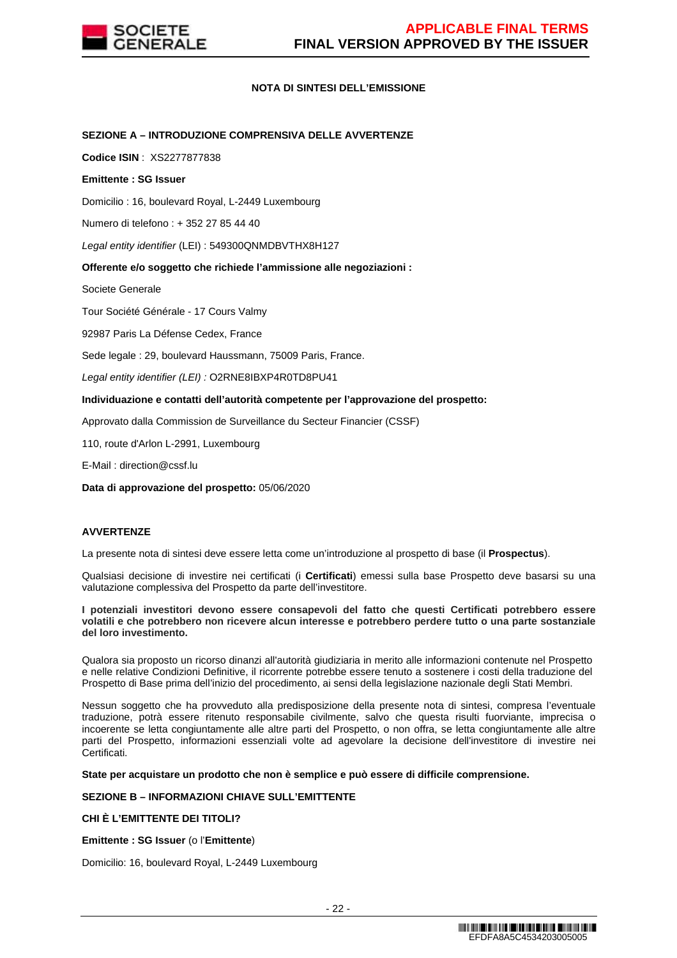

## **NOTA DI SINTESI DELL'EMISSIONE**

## **SEZIONE A – INTRODUZIONE COMPRENSIVA DELLE AVVERTENZE**

**Codice ISIN** : XS2277877838

## **Emittente : SG Issuer**

Domicilio : 16, boulevard Royal, L-2449 Luxembourg

Numero di telefono : + 352 27 85 44 40

Legal entity identifier (LEI) : 549300QNMDBVTHX8H127

## **Offerente e/o soggetto che richiede l'ammissione alle negoziazioni :**

Societe Generale

Tour Société Générale - 17 Cours Valmy

92987 Paris La Défense Cedex, France

Sede legale : 29, boulevard Haussmann, 75009 Paris, France.

Legal entity identifier (LEI) : O2RNE8IBXP4R0TD8PU41

## **Individuazione e contatti dell'autorità competente per l'approvazione del prospetto:**

Approvato dalla Commission de Surveillance du Secteur Financier (CSSF)

110, route d'Arlon L-2991, Luxembourg

E-Mail : direction@cssf.lu

**Data di approvazione del prospetto:** 05/06/2020

## **AVVERTENZE**

La presente nota di sintesi deve essere letta come un'introduzione al prospetto di base (il **Prospectus**).

Qualsiasi decisione di investire nei certificati (i **Certificati**) emessi sulla base Prospetto deve basarsi su una valutazione complessiva del Prospetto da parte dell'investitore.

#### **I potenziali investitori devono essere consapevoli del fatto che questi Certificati potrebbero essere volatili e che potrebbero non ricevere alcun interesse e potrebbero perdere tutto o una parte sostanziale del loro investimento.**

Qualora sia proposto un ricorso dinanzi all'autorità giudiziaria in merito alle informazioni contenute nel Prospetto e nelle relative Condizioni Definitive, il ricorrente potrebbe essere tenuto a sostenere i costi della traduzione del Prospetto di Base prima dell'inizio del procedimento, ai sensi della legislazione nazionale degli Stati Membri.

Nessun soggetto che ha provveduto alla predisposizione della presente nota di sintesi, compresa l'eventuale traduzione, potrà essere ritenuto responsabile civilmente, salvo che questa risulti fuorviante, imprecisa o incoerente se letta congiuntamente alle altre parti del Prospetto, o non offra, se letta congiuntamente alle altre parti del Prospetto, informazioni essenziali volte ad agevolare la decisione dell'investitore di investire nei Certificati.

#### **State per acquistare un prodotto che non è semplice e può essere di difficile comprensione.**

## **SEZIONE B – INFORMAZIONI CHIAVE SULL'EMITTENTE**

# **CHI È L'EMITTENTE DEI TITOLI?**

**Emittente : SG Issuer** (o l'**Emittente**)

Domicilio: 16, boulevard Royal, L-2449 Luxembourg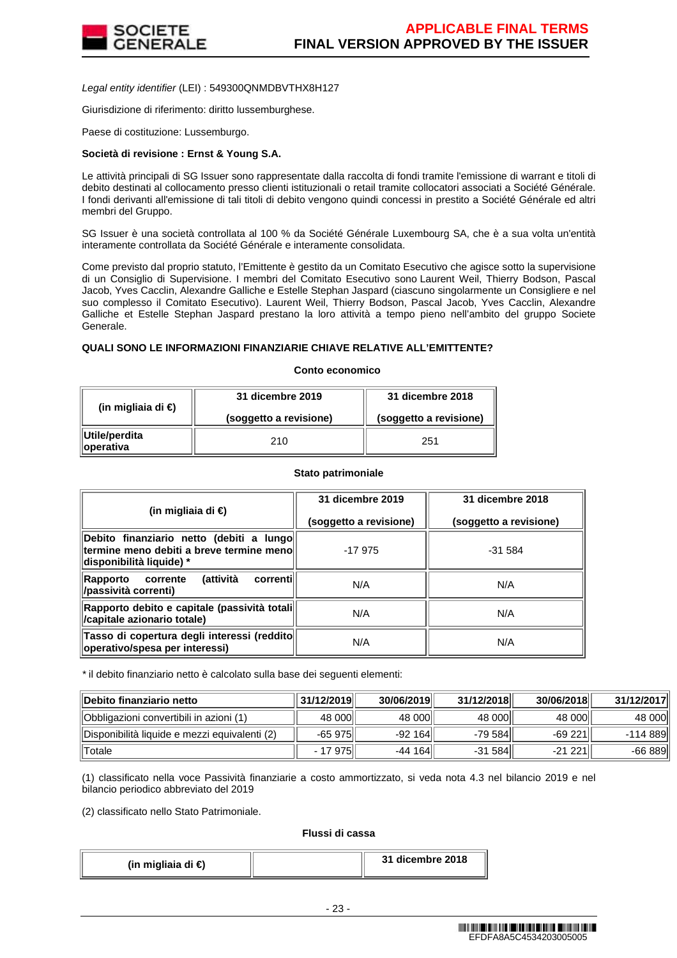

Legal entity identifier (LEI) : 549300QNMDBVTHX8H127

Giurisdizione di riferimento: diritto lussemburghese.

Paese di costituzione: Lussemburgo.

## **Società di revisione : Ernst & Young S.A.**

Le attività principali di SG Issuer sono rappresentate dalla raccolta di fondi tramite l'emissione di warrant e titoli di debito destinati al collocamento presso clienti istituzionali o retail tramite collocatori associati a Société Générale. I fondi derivanti all'emissione di tali titoli di debito vengono quindi concessi in prestito a Société Générale ed altri membri del Gruppo.

SG Issuer è una società controllata al 100 % da Société Générale Luxembourg SA, che è a sua volta un'entità interamente controllata da Société Générale e interamente consolidata.

Come previsto dal proprio statuto, l'Emittente è gestito da un Comitato Esecutivo che agisce sotto la supervisione di un Consiglio di Supervisione. I membri del Comitato Esecutivo sono Laurent Weil, Thierry Bodson, Pascal Jacob, Yves Cacclin, Alexandre Galliche e Estelle Stephan Jaspard (ciascuno singolarmente un Consigliere e nel suo complesso il Comitato Esecutivo). Laurent Weil, Thierry Bodson, Pascal Jacob, Yves Cacclin, Alexandre Galliche et Estelle Stephan Jaspard prestano la loro attività a tempo pieno nell'ambito del gruppo Societe Generale.

## **QUALI SONO LE INFORMAZIONI FINANZIARIE CHIAVE RELATIVE ALL'EMITTENTE?**

#### **Conto economico**

| (in migliaia di €)          | 31 dicembre 2019       | 31 dicembre 2018       |
|-----------------------------|------------------------|------------------------|
|                             | (soggetto a revisione) | (soggetto a revisione) |
| Utile/perdita<br>∥operativa | 210                    | 251                    |

#### **Stato patrimoniale**

| (in migliaia di €)                                                                                                  | 31 dicembre 2019       | 31 dicembre 2018       |
|---------------------------------------------------------------------------------------------------------------------|------------------------|------------------------|
|                                                                                                                     | (soggetto a revisione) | (soggetto a revisione) |
| Debito finanziario netto (debiti a lungo<br>termine meno debiti a breve termine menoll<br> disponibilità liquide) * | $-17975$               | $-31.584$              |
| (attività<br>correntil<br>Rapporto<br>corrente<br>/passività correnti)                                              | N/A                    | N/A                    |
| Rapporto debito e capitale (passività totali <br><i>capitale azionario totale)</i>                                  | N/A                    | N/A                    |
| Tasso di copertura degli interessi (reddito<br>operativo/spesa per interessi)                                       | N/A                    | N/A                    |

\* il debito finanziario netto è calcolato sulla base dei seguenti elementi:

| ∥Debito finanziario netto                     | 31/12/2019 | 30/06/2019 | 31/12/2018 | 30/06/2018 | 31/12/2017 |
|-----------------------------------------------|------------|------------|------------|------------|------------|
| Obbligazioni convertibili in azioni (1)       | 48 000     | 48 000     | 48 000     | 48 000     | 48 000     |
| Disponibilità liquide e mezzi equivalenti (2) | $-65975$   | -92 164 ll | -79 584    | $-69221$   | -114 889   |
| Totale                                        | - 17 975   | -44 164    | $-31584$   | $-21221$   | $-66889$   |

(1) classificato nella voce Passività finanziarie a costo ammortizzato, si veda nota 4.3 nel bilancio 2019 e nel bilancio periodico abbreviato del 2019

(2) classificato nello Stato Patrimoniale.

#### **Flussi di cassa**

| (in migliaia di €) |  | 31 dicembre 2018 |
|--------------------|--|------------------|
|--------------------|--|------------------|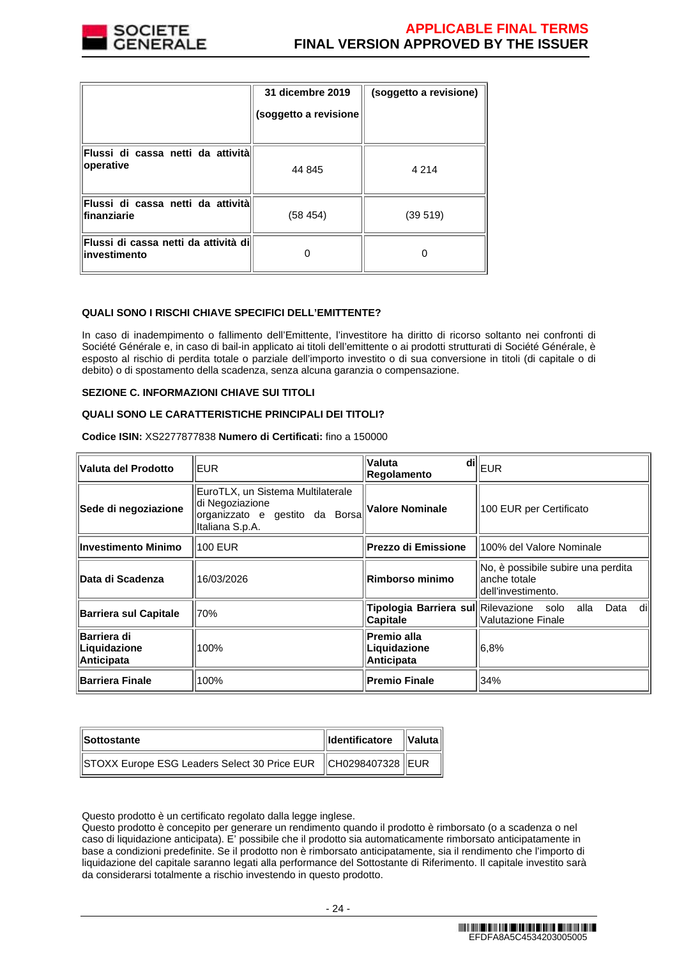

|                                                      | 31 dicembre 2019<br>(soggetto a revisione | (soggetto a revisione) |
|------------------------------------------------------|-------------------------------------------|------------------------|
| Flussi di cassa netti da attività<br>operative       | 44 845                                    | 4 2 1 4                |
| Flussi di cassa netti da attività<br>finanziarie     | (58454)                                   | (39519)                |
| Flussi di cassa netti da attività di<br>investimento |                                           |                        |

## **QUALI SONO I RISCHI CHIAVE SPECIFICI DELL'EMITTENTE?**

In caso di inadempimento o fallimento dell'Emittente, l'investitore ha diritto di ricorso soltanto nei confronti di Société Générale e, in caso di bail-in applicato ai titoli dell'emittente o ai prodotti strutturati di Société Générale, è esposto al rischio di perdita totale o parziale dell'importo investito o di sua conversione in titoli (di capitale o di debito) o di spostamento della scadenza, senza alcuna garanzia o compensazione.

### **SEZIONE C. INFORMAZIONI CHIAVE SUI TITOLI**

## **QUALI SONO LE CARATTERISTICHE PRINCIPALI DEI TITOLI?**

**Codice ISIN:** XS2277877838 **Numero di Certificati:** fino a 150000

| Valuta del Prodotto                              | <b>EUR</b>                                                                                                | <b>Valuta</b><br><b>Regolamento</b>                        | $\left.\overline{\mathsf{di}}\right\Vert_{\mathsf{EUR}}$                 |
|--------------------------------------------------|-----------------------------------------------------------------------------------------------------------|------------------------------------------------------------|--------------------------------------------------------------------------|
| Sede di negoziazione                             | EuroTLX, un Sistema Multilaterale<br>di Negoziazione<br>organizzato e gestito da Borsa<br>Italiana S.p.A. | Valore Nominale                                            | 100 EUR per Certificato                                                  |
| <b>Investimento Minimo</b>                       | 100 EUR                                                                                                   | <b>Prezzo di Emissione</b>                                 | 100% del Valore Nominale                                                 |
| Data di Scadenza                                 | 16/03/2026                                                                                                | Rimborso minimo                                            | No, è possibile subire una perdita<br>anche totale<br>dell'investimento. |
| <b>Barriera sul Capitale</b>                     | 70%                                                                                                       | Tipologia Barriera sul Rilevazione solo<br><b>Capitale</b> | dil<br>alla<br>Data<br>Valutazione Finale                                |
| Barriera di<br>Liquidazione<br><b>Anticipata</b> | 100%                                                                                                      | Premio alla<br>Liquidazione<br>Anticipata                  | 6,8%                                                                     |
| <b>Barriera Finale</b>                           | 100%                                                                                                      | <b>Premio Finale</b>                                       | 34%                                                                      |

| <b>Sottostante</b>                                                | Identificatore   Valuta |  |
|-------------------------------------------------------------------|-------------------------|--|
| STOXX Europe ESG Leaders Select 30 Price EUR   CH0298407328   EUR |                         |  |

Questo prodotto è un certificato regolato dalla legge inglese.

Questo prodotto è concepito per generare un rendimento quando il prodotto è rimborsato (o a scadenza o nel caso di liquidazione anticipata). E' possibile che il prodotto sia automaticamente rimborsato anticipatamente in base a condizioni predefinite. Se il prodotto non è rimborsato anticipatamente, sia il rendimento che l'importo di liquidazione del capitale saranno legati alla performance del Sottostante di Riferimento. Il capitale investito sarà da considerarsi totalmente a rischio investendo in questo prodotto.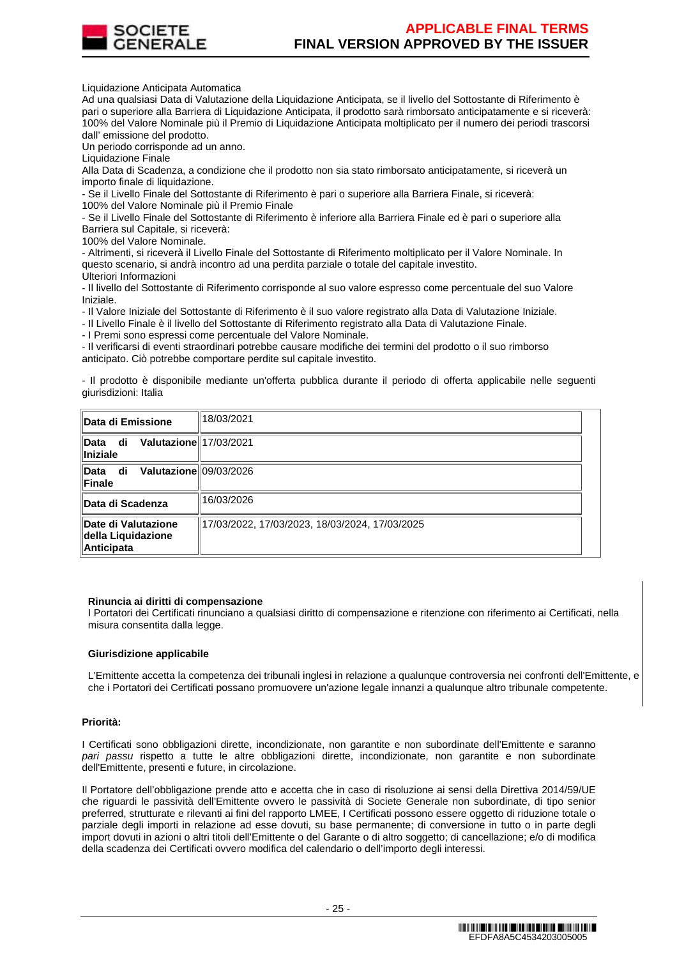

Liquidazione Anticipata Automatica

Ad una qualsiasi Data di Valutazione della Liquidazione Anticipata, se il livello del Sottostante di Riferimento è pari o superiore alla Barriera di Liquidazione Anticipata, il prodotto sarà rimborsato anticipatamente e si riceverà: 100% del Valore Nominale più il Premio di Liquidazione Anticipata moltiplicato per il numero dei periodi trascorsi dall' emissione del prodotto.

Un periodo corrisponde ad un anno.

Liquidazione Finale

Alla Data di Scadenza, a condizione che il prodotto non sia stato rimborsato anticipatamente, si riceverà un importo finale di liquidazione.

- Se il Livello Finale del Sottostante di Riferimento è pari o superiore alla Barriera Finale, si riceverà: 100% del Valore Nominale più il Premio Finale

- Se il Livello Finale del Sottostante di Riferimento è inferiore alla Barriera Finale ed è pari o superiore alla Barriera sul Capitale, si riceverà:

100% del Valore Nominale.

- Altrimenti, si riceverà il Livello Finale del Sottostante di Riferimento moltiplicato per il Valore Nominale. In questo scenario, si andrà incontro ad una perdita parziale o totale del capitale investito. Ulteriori Informazioni

- Il livello del Sottostante di Riferimento corrisponde al suo valore espresso come percentuale del suo Valore Iniziale.

- Il Valore Iniziale del Sottostante di Riferimento è il suo valore registrato alla Data di Valutazione Iniziale.

- Il Livello Finale è il livello del Sottostante di Riferimento registrato alla Data di Valutazione Finale.

- I Premi sono espressi come percentuale del Valore Nominale.

- Il verificarsi di eventi straordinari potrebbe causare modifiche dei termini del prodotto o il suo rimborso anticipato. Ciò potrebbe comportare perdite sul capitale investito.

- Il prodotto è disponibile mediante un'offerta pubblica durante il periodo di offerta applicabile nelle seguenti giurisdizioni: Italia

| ∥Data di Emissione                                       | 18/03/2021                                     |
|----------------------------------------------------------|------------------------------------------------|
| Valutazione 17/03/2021<br>∥Data<br>di<br>∥Iniziale       |                                                |
| Valutazione 09/03/2026<br>∥Data di<br>⊪Finale            |                                                |
| ∥Data di Scadenza                                        | 16/03/2026                                     |
| ∥Date di Valutazione<br>della Liquidazione<br>Anticipata | 17/03/2022, 17/03/2023, 18/03/2024, 17/03/2025 |

#### **Rinuncia ai diritti di compensazione**

I Portatori dei Certificati rinunciano a qualsiasi diritto di compensazione e ritenzione con riferimento ai Certificati, nella misura consentita dalla legge.

#### **Giurisdizione applicabile**

L'Emittente accetta la competenza dei tribunali inglesi in relazione a qualunque controversia nei confronti dell'Emittente, e che i Portatori dei Certificati possano promuovere un'azione legale innanzi a qualunque altro tribunale competente.

#### **Priorità:**

I Certificati sono obbligazioni dirette, incondizionate, non garantite e non subordinate dell'Emittente e saranno pari passu rispetto a tutte le altre obbligazioni dirette, incondizionate, non garantite e non subordinate dell'Emittente, presenti e future, in circolazione.

Il Portatore dell'obbligazione prende atto e accetta che in caso di risoluzione ai sensi della Direttiva 2014/59/UE che riguardi le passività dell'Emittente ovvero le passività di Societe Generale non subordinate, di tipo senior preferred, strutturate e rilevanti ai fini del rapporto LMEE, I Certificati possono essere oggetto di riduzione totale o parziale degli importi in relazione ad esse dovuti, su base permanente; di conversione in tutto o in parte degli import dovuti in azioni o altri titoli dell'Emittente o del Garante o di altro soggetto; di cancellazione; e/o di modifica della scadenza dei Certificati ovvero modifica del calendario o dell'importo degli interessi.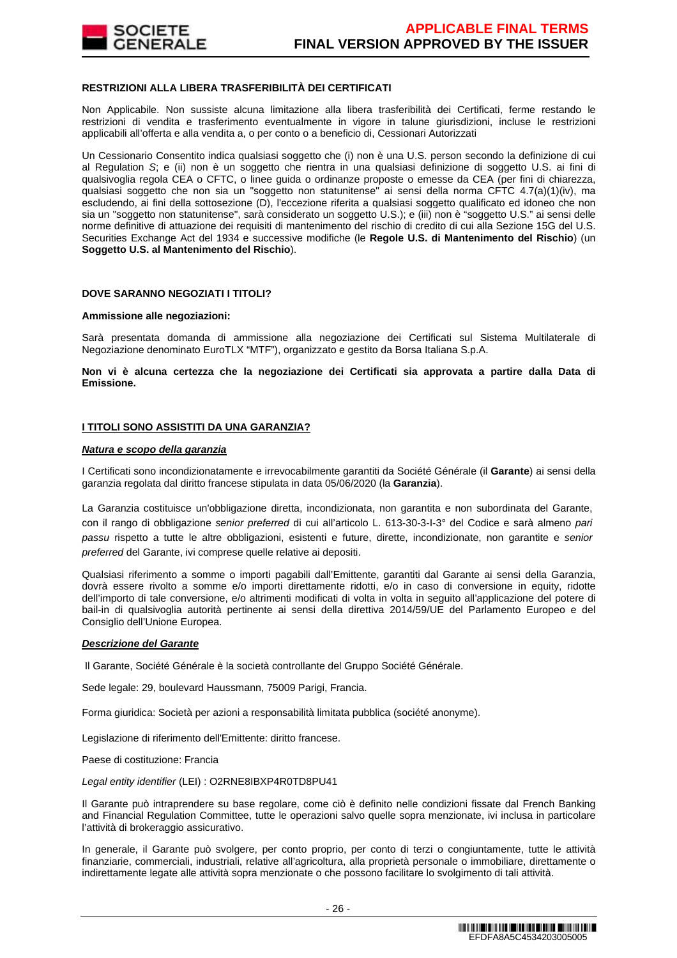

## **RESTRIZIONI ALLA LIBERA TRASFERIBILITÀ DEI CERTIFICATI**

Non Applicabile. Non sussiste alcuna limitazione alla libera trasferibilità dei Certificati, ferme restando le restrizioni di vendita e trasferimento eventualmente in vigore in talune giurisdizioni, incluse le restrizioni applicabili all'offerta e alla vendita a, o per conto o a beneficio di, Cessionari Autorizzati

Un Cessionario Consentito indica qualsiasi soggetto che (i) non è una U.S. person secondo la definizione di cui al Regulation S; e (ii) non è un soggetto che rientra in una qualsiasi definizione di soggetto U.S. ai fini di qualsivoglia regola CEA o CFTC, o linee guida o ordinanze proposte o emesse da CEA (per fini di chiarezza, qualsiasi soggetto che non sia un "soggetto non statunitense" ai sensi della norma CFTC 4.7(a)(1)(iv), ma escludendo, ai fini della sottosezione (D), l'eccezione riferita a qualsiasi soggetto qualificato ed idoneo che non sia un "soggetto non statunitense", sarà considerato un soggetto U.S.); e (iii) non è "soggetto U.S." ai sensi delle norme definitive di attuazione dei requisiti di mantenimento del rischio di credito di cui alla Sezione 15G del U.S. Securities Exchange Act del 1934 e successive modifiche (le **Regole U.S. di Mantenimento del Rischio**) (un **Soggetto U.S. al Mantenimento del Rischio**).

### **DOVE SARANNO NEGOZIATI I TITOLI?**

#### **Ammissione alle negoziazioni:**

Sarà presentata domanda di ammissione alla negoziazione dei Certificati sul Sistema Multilaterale di Negoziazione denominato EuroTLX "MTF"), organizzato e gestito da Borsa Italiana S.p.A.

**Non vi è alcuna certezza che la negoziazione dei Certificati sia approvata a partire dalla Data di Emissione.**

#### **I TITOLI SONO ASSISTITI DA UNA GARANZIA?**

#### **Natura e scopo della garanzia**

I Certificati sono incondizionatamente e irrevocabilmente garantiti da Société Générale (il **Garante**) ai sensi della garanzia regolata dal diritto francese stipulata in data 05/06/2020 (la **Garanzia**).

La Garanzia costituisce un'obbligazione diretta, incondizionata, non garantita e non subordinata del Garante, con il rango di obbligazione senior preferred di cui all'articolo L. 613-30-3-I-3° del Codice e sarà almeno pari passu rispetto a tutte le altre obbligazioni, esistenti e future, dirette, incondizionate, non garantite e senior preferred del Garante, ivi comprese quelle relative ai depositi.

Qualsiasi riferimento a somme o importi pagabili dall'Emittente, garantiti dal Garante ai sensi della Garanzia, dovrà essere rivolto a somme e/o importi direttamente ridotti, e/o in caso di conversione in equity, ridotte dell'importo di tale conversione, e/o altrimenti modificati di volta in volta in seguito all'applicazione del potere di bail-in di qualsivoglia autorità pertinente ai sensi della direttiva 2014/59/UE del Parlamento Europeo e del Consiglio dell'Unione Europea.

#### **Descrizione del Garante**

Il Garante, Société Générale è la società controllante del Gruppo Société Générale.

Sede legale: 29, boulevard Haussmann, 75009 Parigi, Francia.

Forma giuridica: Società per azioni a responsabilità limitata pubblica (société anonyme).

Legislazione di riferimento dell'Emittente: diritto francese.

Paese di costituzione: Francia

Legal entity identifier (LEI) : O2RNE8IBXP4R0TD8PU41

Il Garante può intraprendere su base regolare, come ciò è definito nelle condizioni fissate dal French Banking and Financial Regulation Committee, tutte le operazioni salvo quelle sopra menzionate, ivi inclusa in particolare l'attività di brokeraggio assicurativo.

In generale, il Garante può svolgere, per conto proprio, per conto di terzi o congiuntamente, tutte le attività finanziarie, commerciali, industriali, relative all'agricoltura, alla proprietà personale o immobiliare, direttamente o indirettamente legate alle attività sopra menzionate o che possono facilitare lo svolgimento di tali attività.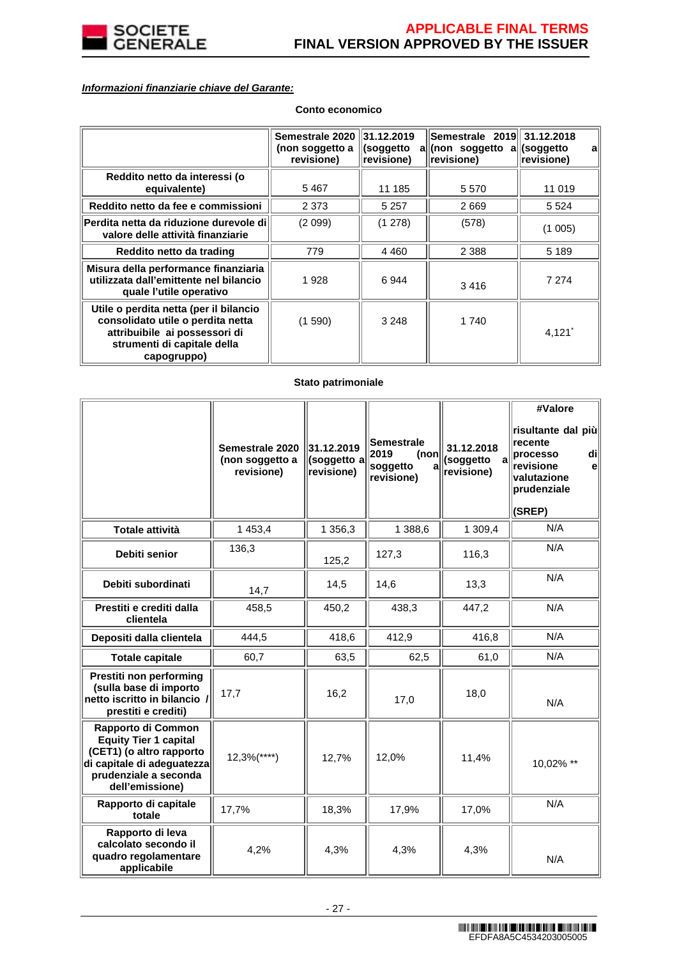

# **Informazioni finanziarie chiave del Garante:**

|                                                                                                                                                            | Semestrale 2020 31.12.2019<br>(non soggetto a<br>revisione) | (soggetto<br>revisione) | Semestrale 2019 31.12.2018<br>all(non soggetto all(soggetto<br>revisione) | a<br>revisione)      |
|------------------------------------------------------------------------------------------------------------------------------------------------------------|-------------------------------------------------------------|-------------------------|---------------------------------------------------------------------------|----------------------|
| Reddito netto da interessi (o<br>equivalente)                                                                                                              | 5467                                                        | 11 185                  | 5 5 7 0                                                                   | 11 019               |
| Reddito netto da fee e commissioni                                                                                                                         | 2 3 7 3                                                     | 5 2 5 7                 | 2669                                                                      | 5 5 2 4              |
| Perdita netta da riduzione durevole di<br>valore delle attività finanziarie                                                                                | (2 099)                                                     | (1278)                  | (578)                                                                     | (1005)               |
| Reddito netto da trading                                                                                                                                   | 779                                                         | 4 4 6 0                 | 2 3 8 8                                                                   | 5 1 8 9              |
| Misura della performance finanziaria<br>utilizzata dall'emittente nel bilancio<br>quale l'utile operativo                                                  | 1928                                                        | 6944                    | 3416                                                                      | 7 2 7 4              |
| Utile o perdita netta (per il bilancio<br>consolidato utile o perdita netta<br>attribuibile ai possessori di<br>strumenti di capitale della<br>capogruppo) | (1590)                                                      | 3 2 4 8                 | 1 740                                                                     | $4,121$ <sup>*</sup> |

# **Conto economico**

## **Stato patrimoniale**

|                                                                                                                                                          | Semestrale 2020<br>(non soggetto a<br>revisione) | 31.12.2019<br>(soggetto a<br>revisione) | <b>Semestrale</b><br>2019<br>(non<br>soggetto<br>a<br>revisione) | 31.12.2018<br>(soggetto<br>revisione) | #Valore<br>risultante dal più<br>recente<br>di<br>processo<br>revisione<br>e<br>valutazione<br>prudenziale<br>(SREP) |
|----------------------------------------------------------------------------------------------------------------------------------------------------------|--------------------------------------------------|-----------------------------------------|------------------------------------------------------------------|---------------------------------------|----------------------------------------------------------------------------------------------------------------------|
| <b>Totale attività</b>                                                                                                                                   | 1 453,4                                          | 1 356,3                                 | 1 388,6                                                          | 1 309,4                               | N/A                                                                                                                  |
| Debiti senior                                                                                                                                            | 136,3                                            | 125,2                                   | 127,3                                                            | 116,3                                 | N/A                                                                                                                  |
| Debiti subordinati                                                                                                                                       | 14,7                                             | 14,5                                    | 14,6                                                             | 13,3                                  | N/A                                                                                                                  |
| Prestiti e crediti dalla<br>clientela                                                                                                                    | 458,5                                            | 450,2                                   | 438,3                                                            | 447,2                                 | N/A                                                                                                                  |
| Depositi dalla clientela                                                                                                                                 | 444,5                                            | 418,6                                   | 412,9                                                            | 416,8                                 | N/A                                                                                                                  |
| <b>Totale capitale</b>                                                                                                                                   | 60,7                                             | 63,5                                    | 62,5                                                             | 61,0                                  | N/A                                                                                                                  |
| Prestiti non performing<br>(sulla base di importo<br>netto iscritto in bilancio /<br>prestiti e crediti)                                                 | 17,7                                             | 16,2                                    | 17,0                                                             | 18,0                                  | N/A                                                                                                                  |
| Rapporto di Common<br><b>Equity Tier 1 capital</b><br>(CET1) (o altro rapporto<br>di capitale di adeguatezza<br>prudenziale a seconda<br>dell'emissione) | $12,3%$ (****)                                   | 12,7%                                   | 12,0%                                                            | 11,4%                                 | 10,02% **                                                                                                            |
| Rapporto di capitale<br>totale                                                                                                                           | 17,7%                                            | 18,3%                                   | 17,9%                                                            | 17,0%                                 | N/A                                                                                                                  |
| Rapporto di leva<br>calcolato secondo il<br>quadro regolamentare<br>applicabile                                                                          | 4,2%                                             | 4,3%                                    | 4,3%                                                             | 4,3%                                  | N/A                                                                                                                  |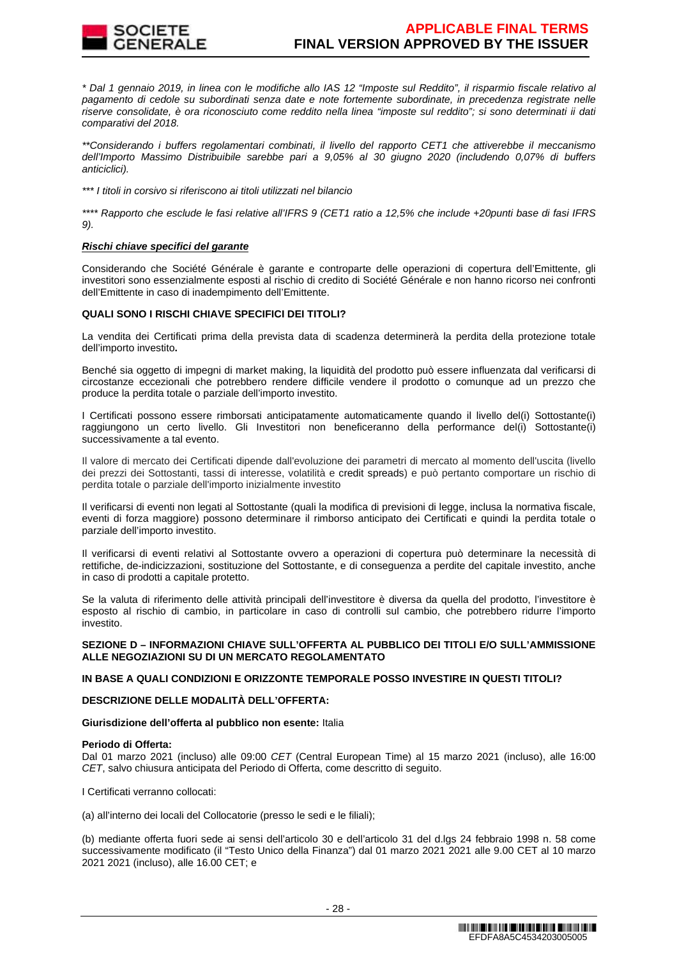

\* Dal 1 gennaio 2019, in linea con le modifiche allo IAS 12 "Imposte sul Reddito", il risparmio fiscale relativo al pagamento di cedole su subordinati senza date e note fortemente subordinate, in precedenza registrate nelle riserve consolidate, è ora riconosciuto come reddito nella linea "imposte sul reddito"; si sono determinati ii dati comparativi del 2018.

\*\*Considerando i buffers regolamentari combinati, il livello del rapporto CET1 che attiverebbe il meccanismo dell'Importo Massimo Distribuibile sarebbe pari a 9,05% al 30 giugno 2020 (includendo 0,07% di buffers anticiclici).

\*\*\* I titoli in corsivo si riferiscono ai titoli utilizzati nel bilancio

\*\*\*\* Rapporto che esclude le fasi relative all'IFRS 9 (CET1 ratio a 12,5% che include +20punti base di fasi IFRS 9).

## **Rischi chiave specifici del garante**

Considerando che Société Générale è garante e controparte delle operazioni di copertura dell'Emittente, gli investitori sono essenzialmente esposti al rischio di credito di Société Générale e non hanno ricorso nei confronti dell'Emittente in caso di inadempimento dell'Emittente.

# **QUALI SONO I RISCHI CHIAVE SPECIFICI DEI TITOLI?**

La vendita dei Certificati prima della prevista data di scadenza determinerà la perdita della protezione totale dell'importo investito**.**

Benché sia oggetto di impegni di market making, la liquidità del prodotto può essere influenzata dal verificarsi di circostanze eccezionali che potrebbero rendere difficile vendere il prodotto o comunque ad un prezzo che produce la perdita totale o parziale dell'importo investito.

I Certificati possono essere rimborsati anticipatamente automaticamente quando il livello del(i) Sottostante(i) raggiungono un certo livello. Gli Investitori non beneficeranno della performance del(i) Sottostante(i) successivamente a tal evento.

Il valore di mercato dei Certificati dipende dall'evoluzione dei parametri di mercato al momento dell'uscita (livello dei prezzi dei Sottostanti, tassi di interesse, volatilità e credit spreads) e può pertanto comportare un rischio di perdita totale o parziale dell'importo inizialmente investito

Il verificarsi di eventi non legati al Sottostante (quali la modifica di previsioni di legge, inclusa la normativa fiscale, eventi di forza maggiore) possono determinare il rimborso anticipato dei Certificati e quindi la perdita totale o parziale dell'importo investito.

Il verificarsi di eventi relativi al Sottostante ovvero a operazioni di copertura può determinare la necessità di rettifiche, de-indicizzazioni, sostituzione del Sottostante, e di conseguenza a perdite del capitale investito, anche in caso di prodotti a capitale protetto.

Se la valuta di riferimento delle attività principali dell'investitore è diversa da quella del prodotto, l'investitore è esposto al rischio di cambio, in particolare in caso di controlli sul cambio, che potrebbero ridurre l'importo investito.

## **SEZIONE D – INFORMAZIONI CHIAVE SULL'OFFERTA AL PUBBLICO DEI TITOLI E/O SULL'AMMISSIONE ALLE NEGOZIAZIONI SU DI UN MERCATO REGOLAMENTATO**

# **IN BASE A QUALI CONDIZIONI E ORIZZONTE TEMPORALE POSSO INVESTIRE IN QUESTI TITOLI?**

## **DESCRIZIONE DELLE MODALITÀ DELL'OFFERTA:**

#### **Giurisdizione dell'offerta al pubblico non esente:** Italia

#### **Periodo di Offerta:**

Dal 01 marzo 2021 (incluso) alle 09:00 CET (Central European Time) al 15 marzo 2021 (incluso), alle 16:00 CET, salvo chiusura anticipata del Periodo di Offerta, come descritto di seguito.

I Certificati verranno collocati:

(a) all'interno dei locali del Collocatorie (presso le sedi e le filiali);

(b) mediante offerta fuori sede ai sensi dell'articolo 30 e dell'articolo 31 del d.lgs 24 febbraio 1998 n. 58 come successivamente modificato (il "Testo Unico della Finanza") dal 01 marzo 2021 2021 alle 9.00 CET al 10 marzo 2021 2021 (incluso), alle 16.00 CET; e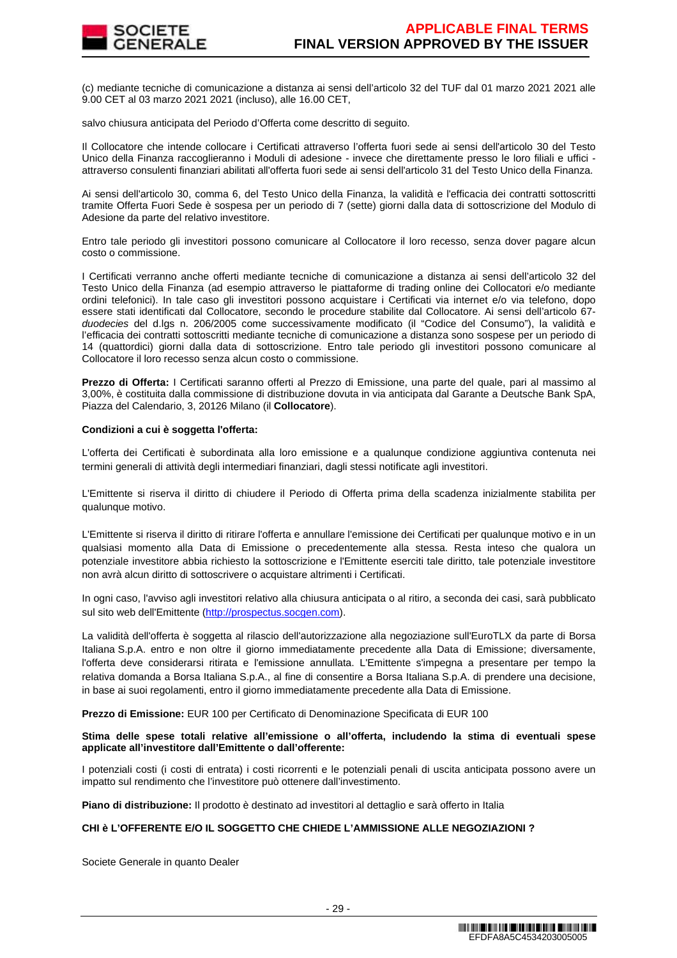

(c) mediante tecniche di comunicazione a distanza ai sensi dell'articolo 32 del TUF dal 01 marzo 2021 2021 alle 9.00 CET al 03 marzo 2021 2021 (incluso), alle 16.00 CET,

salvo chiusura anticipata del Periodo d'Offerta come descritto di seguito.

Il Collocatore che intende collocare i Certificati attraverso l'offerta fuori sede ai sensi dell'articolo 30 del Testo Unico della Finanza raccoglieranno i Moduli di adesione - invece che direttamente presso le loro filiali e uffici attraverso consulenti finanziari abilitati all'offerta fuori sede ai sensi dell'articolo 31 del Testo Unico della Finanza.

Ai sensi dell'articolo 30, comma 6, del Testo Unico della Finanza, la validità e l'efficacia dei contratti sottoscritti tramite Offerta Fuori Sede è sospesa per un periodo di 7 (sette) giorni dalla data di sottoscrizione del Modulo di Adesione da parte del relativo investitore.

Entro tale periodo gli investitori possono comunicare al Collocatore il loro recesso, senza dover pagare alcun costo o commissione.

I Certificati verranno anche offerti mediante tecniche di comunicazione a distanza ai sensi dell'articolo 32 del Testo Unico della Finanza (ad esempio attraverso le piattaforme di trading online dei Collocatori e/o mediante ordini telefonici). In tale caso gli investitori possono acquistare i Certificati via internet e/o via telefono, dopo essere stati identificati dal Collocatore, secondo le procedure stabilite dal Collocatore. Ai sensi dell'articolo 67 duodecies del d.lgs n. 206/2005 come successivamente modificato (il "Codice del Consumo"), la validità e l'efficacia dei contratti sottoscritti mediante tecniche di comunicazione a distanza sono sospese per un periodo di 14 (quattordici) giorni dalla data di sottoscrizione. Entro tale periodo gli investitori possono comunicare al Collocatore il loro recesso senza alcun costo o commissione.

**Prezzo di Offerta:** I Certificati saranno offerti al Prezzo di Emissione, una parte del quale, pari al massimo al 3,00%, è costituita dalla commissione di distribuzione dovuta in via anticipata dal Garante a Deutsche Bank SpA, Piazza del Calendario, 3, 20126 Milano (il **Collocatore**).

## **Condizioni a cui è soggetta l'offerta:**

L'offerta dei Certificati è subordinata alla loro emissione e a qualunque condizione aggiuntiva contenuta nei termini generali di attività degli intermediari finanziari, dagli stessi notificate agli investitori.

L'Emittente si riserva il diritto di chiudere il Periodo di Offerta prima della scadenza inizialmente stabilita per qualunque motivo.

L'Emittente si riserva il diritto di ritirare l'offerta e annullare l'emissione dei Certificati per qualunque motivo e in un qualsiasi momento alla Data di Emissione o precedentemente alla stessa. Resta inteso che qualora un potenziale investitore abbia richiesto la sottoscrizione e l'Emittente eserciti tale diritto, tale potenziale investitore non avrà alcun diritto di sottoscrivere o acquistare altrimenti i Certificati.

In ogni caso, l'avviso agli investitori relativo alla chiusura anticipata o al ritiro, a seconda dei casi, sarà pubblicato sul sito web dell'Emittente (http://prospectus.socgen.com).

La validità dell'offerta è soggetta al rilascio dell'autorizzazione alla negoziazione sull'EuroTLX da parte di Borsa Italiana S.p.A. entro e non oltre il giorno immediatamente precedente alla Data di Emissione; diversamente, l'offerta deve considerarsi ritirata e l'emissione annullata. L'Emittente s'impegna a presentare per tempo la relativa domanda a Borsa Italiana S.p.A., al fine di consentire a Borsa Italiana S.p.A. di prendere una decisione, in base ai suoi regolamenti, entro il giorno immediatamente precedente alla Data di Emissione.

**Prezzo di Emissione:** EUR 100 per Certificato di Denominazione Specificata di EUR 100

**Stima delle spese totali relative all'emissione o all'offerta, includendo la stima di eventuali spese applicate all'investitore dall'Emittente o dall'offerente:**

I potenziali costi (i costi di entrata) i costi ricorrenti e le potenziali penali di uscita anticipata possono avere un impatto sul rendimento che l'investitore può ottenere dall'investimento.

**Piano di distribuzione:** Il prodotto è destinato ad investitori al dettaglio e sarà offerto in Italia

## **CHI è L'OFFERENTE E/O IL SOGGETTO CHE CHIEDE L'AMMISSIONE ALLE NEGOZIAZIONI ?**

Societe Generale in quanto Dealer